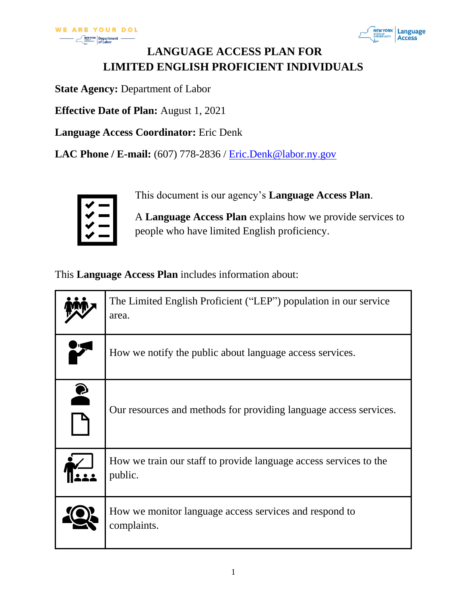

## **LANGUAGE ACCESS PLAN FOR LIMITED ENGLISH PROFICIENT INDIVIDUALS**

**State Agency:** Department of Labor

**Effective Date of Plan:** August 1, 2021

**Language Access Coordinator:** Eric Denk

**LAC Phone / E-mail:** (607) 778-2836 / [Eric.Denk@labor.ny.gov](mailto:Eric.Denk@labor.ny.gov)



This document is our agency's **Language Access Plan**.

A **Language Access Plan** explains how we provide services to people who have limited English proficiency.

This **Language Access Plan** includes information about:

|           | The Limited English Proficient ("LEP") population in our service<br>area.    |
|-----------|------------------------------------------------------------------------------|
|           | How we notify the public about language access services.                     |
| $\bullet$ | Our resources and methods for providing language access services.            |
|           | How we train our staff to provide language access services to the<br>public. |
|           | How we monitor language access services and respond to<br>complaints.        |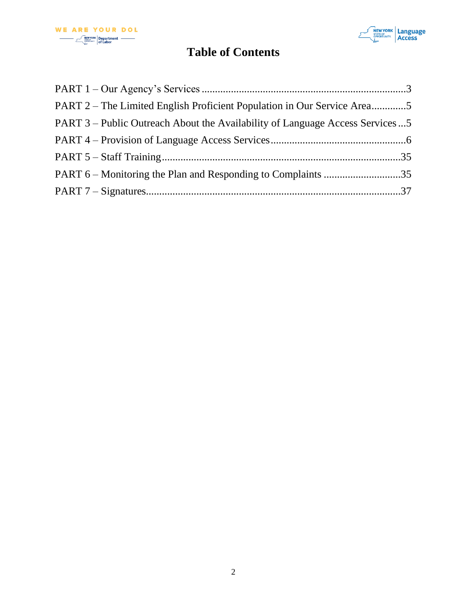



# **Table of Contents**

| PART 2 – The Limited English Proficient Population in Our Service Area5      |  |
|------------------------------------------------------------------------------|--|
| PART 3 – Public Outreach About the Availability of Language Access Services5 |  |
|                                                                              |  |
|                                                                              |  |
|                                                                              |  |
|                                                                              |  |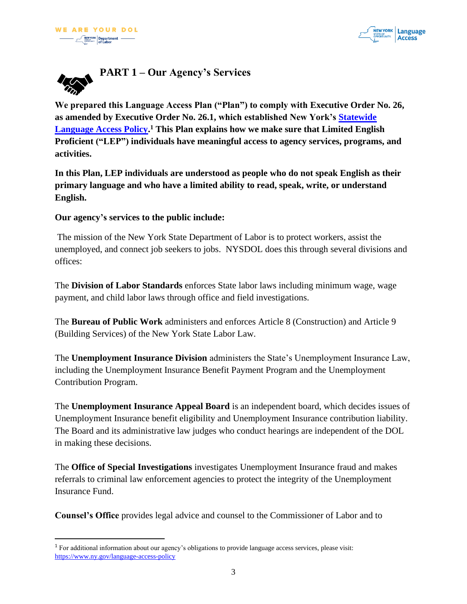

<span id="page-2-0"></span>

**We prepared this Language Access Plan ("Plan") to comply with Executive Order No. 26, as amended by Executive Order No. 26.1, which established New York's [Statewide](https://www.ny.gov/language-access-policy)  [Language Access Policy.](https://www.ny.gov/language-access-policy) <sup>1</sup> This Plan explains how we make sure that Limited English Proficient ("LEP") individuals have meaningful access to agency services, programs, and activities.**

**In this Plan, LEP individuals are understood as people who do not speak English as their primary language and who have a limited ability to read, speak, write, or understand English.** 

#### **Our agency's services to the public include:**

The mission of the New York State Department of Labor is to protect workers, assist the unemployed, and connect job seekers to jobs. NYSDOL does this through several divisions and offices:

The **Division of Labor Standards** enforces State labor laws including minimum wage, wage payment, and child labor laws through office and field investigations.

The **Bureau of Public Work** administers and enforces Article 8 (Construction) and Article 9 (Building Services) of the New York State Labor Law.

The **Unemployment Insurance Division** administers the State's Unemployment Insurance Law, including the Unemployment Insurance Benefit Payment Program and the Unemployment Contribution Program.

The **Unemployment Insurance Appeal Board** is an independent board, which decides issues of Unemployment Insurance benefit eligibility and Unemployment Insurance contribution liability. The Board and its administrative law judges who conduct hearings are independent of the DOL in making these decisions.

The **Office of Special Investigations** investigates Unemployment Insurance fraud and makes referrals to criminal law enforcement agencies to protect the integrity of the Unemployment Insurance Fund.

**Counsel's Office** provides legal advice and counsel to the Commissioner of Labor and to

<sup>1</sup> For additional information about our agency's obligations to provide language access services, please visit: <https://www.ny.gov/language-access-policy>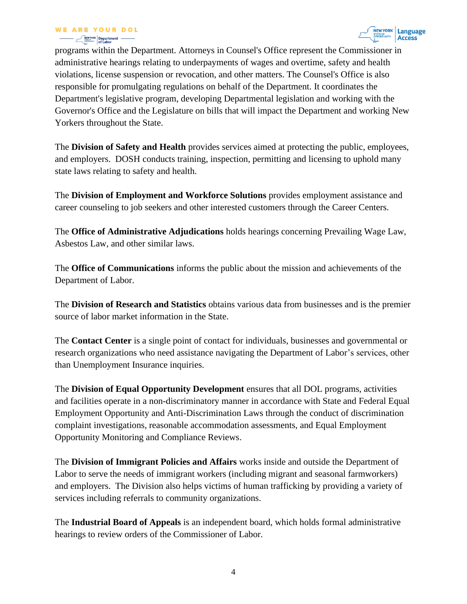

programs within the Department. Attorneys in Counsel's Office represent the Commissioner in administrative hearings relating to underpayments of wages and overtime, safety and health violations, license suspension or revocation, and other matters. The Counsel's Office is also responsible for promulgating regulations on behalf of the Department. It coordinates the Department's legislative program, developing Departmental legislation and working with the Governor's Office and the Legislature on bills that will impact the Department and working New Yorkers throughout the State.

The **Division of Safety and Health** provides services aimed at protecting the public, employees, and employers. DOSH conducts training, inspection, permitting and licensing to uphold many state laws relating to safety and health.

The **Division of Employment and Workforce Solutions** provides employment assistance and career counseling to job seekers and other interested customers through the Career Centers.

The **Office of Administrative Adjudications** holds hearings concerning Prevailing Wage Law, Asbestos Law, and other similar laws.

The **Office of Communications** informs the public about the mission and achievements of the Department of Labor.

The **Division of Research and Statistics** obtains various data from businesses and is the premier source of labor market information in the State.

The **Contact Center** is a single point of contact for individuals, businesses and governmental or research organizations who need assistance navigating the Department of Labor's services, other than Unemployment Insurance inquiries.

The **Division of Equal Opportunity Development** ensures that all DOL programs, activities and facilities operate in a non-discriminatory manner in accordance with State and Federal Equal Employment Opportunity and Anti-Discrimination Laws through the conduct of discrimination complaint investigations, reasonable accommodation assessments, and Equal Employment Opportunity Monitoring and Compliance Reviews.

The **Division of Immigrant Policies and Affairs** works inside and outside the Department of Labor to serve the needs of immigrant workers (including migrant and seasonal farmworkers) and employers. The Division also helps victims of human trafficking by providing a variety of services including referrals to community organizations.

The **Industrial Board of Appeals** is an independent board, which holds formal administrative hearings to review orders of the Commissioner of Labor.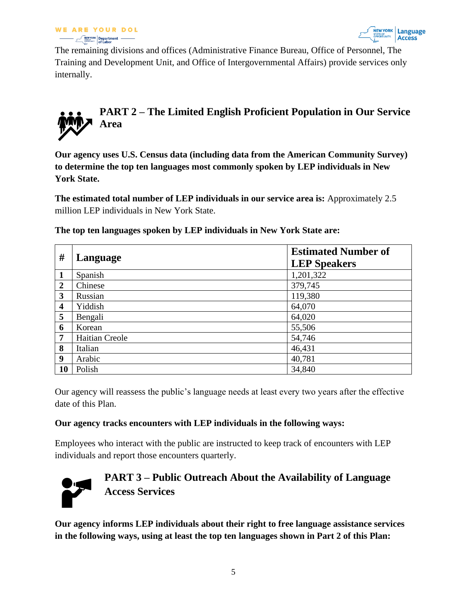



The remaining divisions and offices (Administrative Finance Bureau, Office of Personnel, The Training and Development Unit, and Office of Intergovernmental Affairs) provide services only internally.

# <span id="page-4-0"></span>**PART 2 – The Limited English Proficient Population in Our Service Area**

**Our agency uses U.S. Census data (including data from the American Community Survey) to determine the top ten languages most commonly spoken by LEP individuals in New York State.** 

**The estimated total number of LEP individuals in our service area is:** Approximately 2.5 million LEP individuals in New York State.

| #                       | Language              | <b>Estimated Number of</b><br><b>LEP Speakers</b> |
|-------------------------|-----------------------|---------------------------------------------------|
| 1                       | Spanish               | 1,201,322                                         |
| $\overline{2}$          | Chinese               | 379,745                                           |
| 3                       | Russian               | 119,380                                           |
| $\overline{\mathbf{4}}$ | Yiddish               | 64,070                                            |
| 5                       | Bengali               | 64,020                                            |
| 6                       | Korean                | 55,506                                            |
| 7                       | <b>Haitian Creole</b> | 54,746                                            |
| 8                       | Italian               | 46,431                                            |
| 9                       | Arabic                | 40,781                                            |
| 10                      | Polish                | 34,840                                            |

**The top ten languages spoken by LEP individuals in New York State are:**

Our agency will reassess the public's language needs at least every two years after the effective date of this Plan.

#### **Our agency tracks encounters with LEP individuals in the following ways:**

Employees who interact with the public are instructed to keep track of encounters with LEP individuals and report those encounters quarterly.



## <span id="page-4-1"></span>**PART 3 – Public Outreach About the Availability of Language Access Services**

**Our agency informs LEP individuals about their right to free language assistance services in the following ways, using at least the top ten languages shown in Part 2 of this Plan:**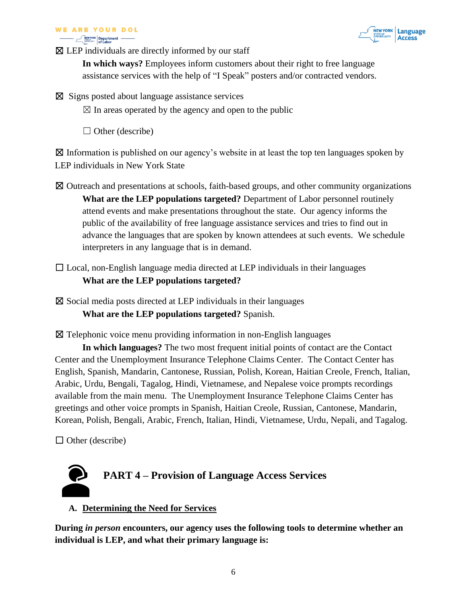#### **WE ARE YOUR DOL Example 19 Department** –



 $\boxtimes$  LEP individuals are directly informed by our staff

**In which ways?** Employees inform customers about their right to free language assistance services with the help of "I Speak" posters and/or contracted vendors.

☒ Signs posted about language assistance services

 $\boxtimes$  In areas operated by the agency and open to the public

 $\Box$  Other (describe)

 $\boxtimes$  Information is published on our agency's website in at least the top ten languages spoken by LEP individuals in New York State

- ☒ Outreach and presentations at schools, faith-based groups, and other community organizations **What are the LEP populations targeted?** Department of Labor personnel routinely attend events and make presentations throughout the state. Our agency informs the public of the availability of free language assistance services and tries to find out in advance the languages that are spoken by known attendees at such events. We schedule interpreters in any language that is in demand.
- $\Box$  Local, non-English language media directed at LEP individuals in their languages **What are the LEP populations targeted?**

 $\boxtimes$  Social media posts directed at LEP individuals in their languages **What are the LEP populations targeted?** Spanish.

☒ Telephonic voice menu providing information in non-English languages

**In which languages?** The two most frequent initial points of contact are the Contact Center and the Unemployment Insurance Telephone Claims Center. The Contact Center has English, Spanish, Mandarin, Cantonese, Russian, Polish, Korean, Haitian Creole, French, Italian, Arabic, Urdu, Bengali, Tagalog, Hindi, Vietnamese, and Nepalese voice prompts recordings available from the main menu. The Unemployment Insurance Telephone Claims Center has greetings and other voice prompts in Spanish, Haitian Creole, Russian, Cantonese, Mandarin, Korean, Polish, Bengali, Arabic, French, Italian, Hindi, Vietnamese, Urdu, Nepali, and Tagalog.

 $\Box$  Other (describe)

<span id="page-5-0"></span>

#### **A. Determining the Need for Services**

**During** *in person* **encounters, our agency uses the following tools to determine whether an individual is LEP, and what their primary language is:**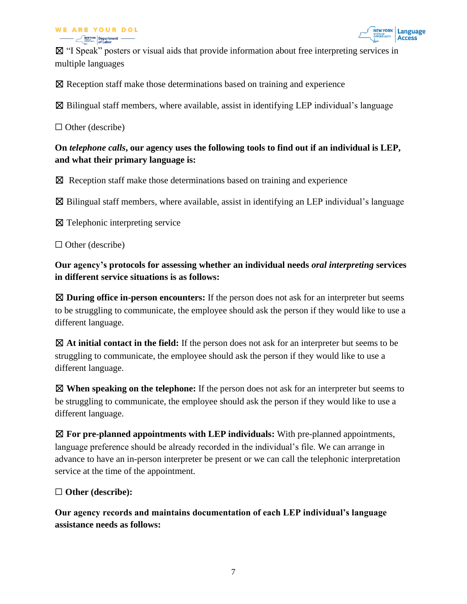#### **WE ARE YOUR DOL**  $\frac{NEWYORK}{SWOMNEW}$  Department -



☒ "I Speak" posters or visual aids that provide information about free interpreting services in multiple languages

☒ Reception staff make those determinations based on training and experience

 $\boxtimes$  Bilingual staff members, where available, assist in identifying LEP individual's language

 $\Box$  Other (describe)

## **On** *telephone calls***, our agency uses the following tools to find out if an individual is LEP, and what their primary language is:**

 $\boxtimes$  Reception staff make those determinations based on training and experience

 $\boxtimes$  Bilingual staff members, where available, assist in identifying an LEP individual's language

☒ Telephonic interpreting service

 $\Box$  Other (describe)

**Our agency's protocols for assessing whether an individual needs** *oral interpreting* **services in different service situations is as follows:**

☒ **During office in-person encounters:** If the person does not ask for an interpreter but seems to be struggling to communicate, the employee should ask the person if they would like to use a different language.

☒ **At initial contact in the field:** If the person does not ask for an interpreter but seems to be struggling to communicate, the employee should ask the person if they would like to use a different language.

☒ **When speaking on the telephone:** If the person does not ask for an interpreter but seems to be struggling to communicate, the employee should ask the person if they would like to use a different language.

☒ **For pre-planned appointments with LEP individuals:** With pre-planned appointments, language preference should be already recorded in the individual's file. We can arrange in advance to have an in-person interpreter be present or we can call the telephonic interpretation service at the time of the appointment.

#### ☐ **Other (describe):**

**Our agency records and maintains documentation of each LEP individual's language assistance needs as follows:**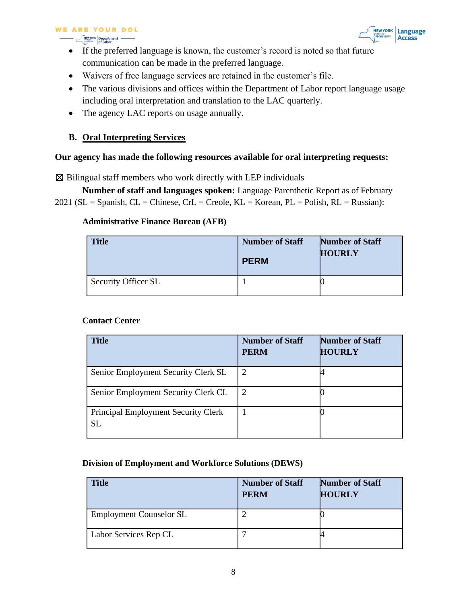## **WE ARE YOUR DOL**

**Department -**<br> **Department -**<br> **of Labor** 



- If the preferred language is known, the customer's record is noted so that future communication can be made in the preferred language.
- Waivers of free language services are retained in the customer's file.
- The various divisions and offices within the Department of Labor report language usage including oral interpretation and translation to the LAC quarterly.
- The agency LAC reports on usage annually.

#### **B. Oral Interpreting Services**

**Contact Center** 

#### **Our agency has made the following resources available for oral interpreting requests:**

 $\boxtimes$  Bilingual staff members who work directly with LEP individuals

**Number of staff and languages spoken:** Language Parenthetic Report as of February 2021 ( $SL =$  Spanish,  $CL =$  Chinese,  $CrL =$  Creole,  $KL =$  Korean,  $PL =$  Polish,  $RL =$  Russian):

#### **Administrative Finance Bureau (AFB)**

| <b>Title</b>        | <b>Number of Staff</b><br><b>PERM</b> | <b>Number of Staff</b><br><b>HOURLY</b> |
|---------------------|---------------------------------------|-----------------------------------------|
| Security Officer SL |                                       |                                         |

| <b>Title</b>                                            | <b>Number of Staff</b><br><b>PERM</b> | <b>Number of Staff</b><br><b>HOURLY</b> |
|---------------------------------------------------------|---------------------------------------|-----------------------------------------|
| Senior Employment Security Clerk SL                     | 2                                     |                                         |
| Senior Employment Security Clerk CL                     | 2                                     |                                         |
| <b>Principal Employment Security Clerk</b><br><b>SL</b> |                                       |                                         |

# **Division of Employment and Workforce Solutions (DEWS)**

| <b>Title</b>                   | <b>Number of Staff</b><br><b>PERM</b> | <b>Number of Staff</b><br><b>HOURLY</b> |
|--------------------------------|---------------------------------------|-----------------------------------------|
| <b>Employment Counselor SL</b> |                                       |                                         |
| Labor Services Rep CL          |                                       |                                         |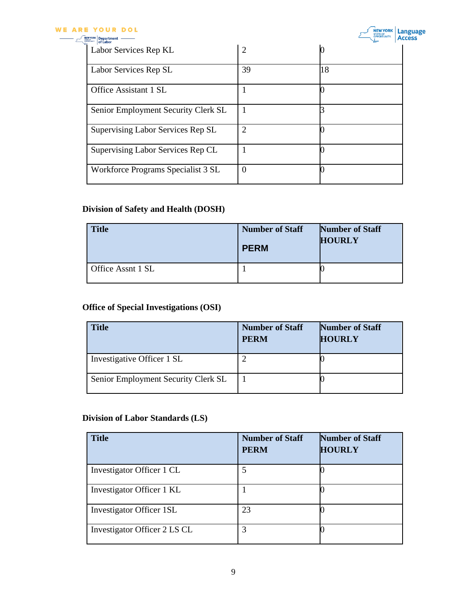#### **WE ARE YOUR DOL**

| 39             | 18             |
|----------------|----------------|
|                |                |
|                |                |
| $\overline{2}$ |                |
|                |                |
| $\Omega$       |                |
|                | $\overline{2}$ |

#### **Division of Safety and Health (DOSH)**

| <b>Title</b>      | <b>Number of Staff</b><br><b>PERM</b> | <b>Number of Staff</b><br><b>HOURLY</b> |
|-------------------|---------------------------------------|-----------------------------------------|
| Office Assnt 1 SL |                                       |                                         |

## **Office of Special Investigations (OSI)**

| Title                               | <b>Number of Staff</b><br><b>PERM</b> | <b>Number of Staff</b><br><b>HOURLY</b> |
|-------------------------------------|---------------------------------------|-----------------------------------------|
| Investigative Officer 1 SL          |                                       |                                         |
| Senior Employment Security Clerk SL |                                       |                                         |

#### **Division of Labor Standards (LS)**

| <b>Title</b>                    | <b>Number of Staff</b><br><b>PERM</b> | <b>Number of Staff</b><br><b>HOURLY</b> |
|---------------------------------|---------------------------------------|-----------------------------------------|
| Investigator Officer 1 CL       | 5                                     |                                         |
| Investigator Officer 1 KL       |                                       |                                         |
| <b>Investigator Officer 1SL</b> | 23                                    |                                         |
| Investigator Officer 2 LS CL    | 3                                     |                                         |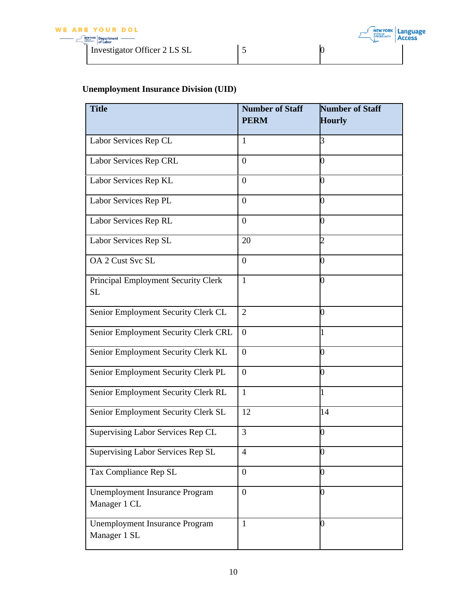Investigator Officer 2 LS SL 5 0

# **Unemployment Insurance Division (UID)**

| <b>Title</b>                                          | <b>Number of Staff</b> | <b>Number of Staff</b> |
|-------------------------------------------------------|------------------------|------------------------|
|                                                       | <b>PERM</b>            | <b>Hourly</b>          |
| Labor Services Rep CL                                 | 1                      | 3                      |
| Labor Services Rep CRL                                | $\overline{0}$         | 0                      |
| Labor Services Rep KL                                 | $\overline{0}$         |                        |
| Labor Services Rep PL                                 | $\overline{0}$         | O                      |
| Labor Services Rep RL                                 | $\overline{0}$         | 0                      |
| Labor Services Rep SL                                 | 20                     | 2                      |
| OA 2 Cust Svc SL                                      | $\overline{0}$         | 0                      |
| Principal Employment Security Clerk<br>SL             | $\mathbf{1}$           | D                      |
| Senior Employment Security Clerk CL                   | $\overline{2}$         | 0                      |
| Senior Employment Security Clerk CRL                  | $\overline{0}$         |                        |
| Senior Employment Security Clerk KL                   | $\theta$               | ⋂                      |
| Senior Employment Security Clerk PL                   | $\overline{0}$         |                        |
| Senior Employment Security Clerk RL                   | $\mathbf{1}$           |                        |
| Senior Employment Security Clerk SL                   | 12                     | 14                     |
| Supervising Labor Services Rep CL                     | 3                      | 0                      |
| Supervising Labor Services Rep SL                     | $\overline{4}$         | D                      |
| Tax Compliance Rep SL                                 | $\overline{0}$         | 0                      |
| <b>Unemployment Insurance Program</b><br>Manager 1 CL | $\overline{0}$         | O                      |
| <b>Unemployment Insurance Program</b><br>Manager 1 SL | $\mathbf{1}$           |                        |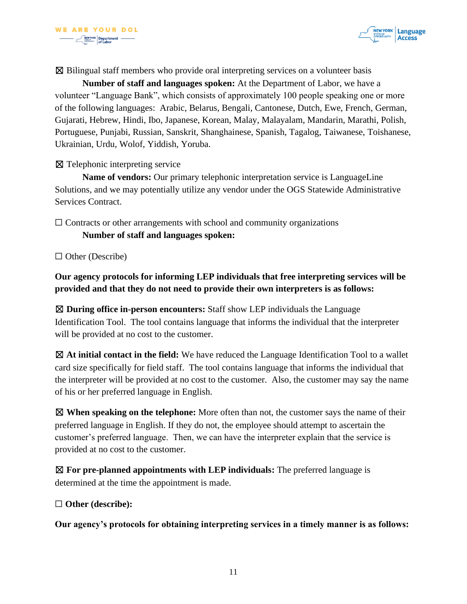

 $\boxtimes$  Bilingual staff members who provide oral interpreting services on a volunteer basis

**Number of staff and languages spoken:** At the Department of Labor, we have a volunteer "Language Bank", which consists of approximately 100 people speaking one or more of the following languages: Arabic, Belarus, Bengali, Cantonese, Dutch, Ewe, French, German, Gujarati, Hebrew, Hindi, Ibo, Japanese, Korean, Malay, Malayalam, Mandarin, Marathi, Polish, Portuguese, Punjabi, Russian, Sanskrit, Shanghainese, Spanish, Tagalog, Taiwanese, Toishanese, Ukrainian, Urdu, Wolof, Yiddish, Yoruba.

#### ☒ Telephonic interpreting service

**Name of vendors:** Our primary telephonic interpretation service is LanguageLine Solutions, and we may potentially utilize any vendor under the OGS Statewide Administrative Services Contract.

 $\Box$  Contracts or other arrangements with school and community organizations **Number of staff and languages spoken:**

 $\Box$  Other (Describe)

**Our agency protocols for informing LEP individuals that free interpreting services will be provided and that they do not need to provide their own interpreters is as follows:**

☒ **During office in-person encounters:** Staff show LEP individuals the Language Identification Tool. The tool contains language that informs the individual that the interpreter will be provided at no cost to the customer.

☒ **At initial contact in the field:** We have reduced the Language Identification Tool to a wallet card size specifically for field staff. The tool contains language that informs the individual that the interpreter will be provided at no cost to the customer. Also, the customer may say the name of his or her preferred language in English.

☒ **When speaking on the telephone:** More often than not, the customer says the name of their preferred language in English. If they do not, the employee should attempt to ascertain the customer's preferred language. Then, we can have the interpreter explain that the service is provided at no cost to the customer.

☒ **For pre-planned appointments with LEP individuals:** The preferred language is determined at the time the appointment is made.

☐ **Other (describe):**

**Our agency's protocols for obtaining interpreting services in a timely manner is as follows:**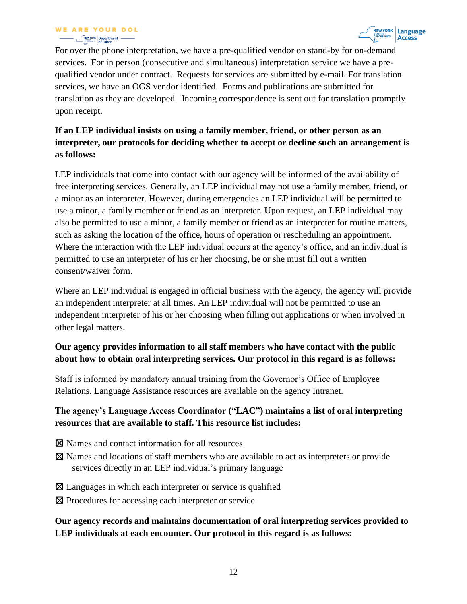For over the phone interpretation, we have a pre-qualified vendor on stand-by for on-demand services. For in person (consecutive and simultaneous) interpretation service we have a prequalified vendor under contract. Requests for services are submitted by e-mail. For translation services, we have an OGS vendor identified. Forms and publications are submitted for translation as they are developed. Incoming correspondence is sent out for translation promptly upon receipt.

## **If an LEP individual insists on using a family member, friend, or other person as an interpreter, our protocols for deciding whether to accept or decline such an arrangement is as follows:**

LEP individuals that come into contact with our agency will be informed of the availability of free interpreting services. Generally, an LEP individual may not use a family member, friend, or a minor as an interpreter. However, during emergencies an LEP individual will be permitted to use a minor, a family member or friend as an interpreter. Upon request, an LEP individual may also be permitted to use a minor, a family member or friend as an interpreter for routine matters, such as asking the location of the office, hours of operation or rescheduling an appointment. Where the interaction with the LEP individual occurs at the agency's office, and an individual is permitted to use an interpreter of his or her choosing, he or she must fill out a written consent/waiver form.

Where an LEP individual is engaged in official business with the agency, the agency will provide an independent interpreter at all times. An LEP individual will not be permitted to use an independent interpreter of his or her choosing when filling out applications or when involved in other legal matters.

## **Our agency provides information to all staff members who have contact with the public about how to obtain oral interpreting services. Our protocol in this regard is as follows:**

Staff is informed by mandatory annual training from the Governor's Office of Employee Relations. Language Assistance resources are available on the agency Intranet.

#### **The agency's Language Access Coordinator ("LAC") maintains a list of oral interpreting resources that are available to staff. This resource list includes:**

- ☒ Names and contact information for all resources
- ☒ Names and locations of staff members who are available to act as interpreters or provide services directly in an LEP individual's primary language
- $\boxtimes$  Languages in which each interpreter or service is qualified
- ⊠ Procedures for accessing each interpreter or service

#### **Our agency records and maintains documentation of oral interpreting services provided to LEP individuals at each encounter. Our protocol in this regard is as follows:**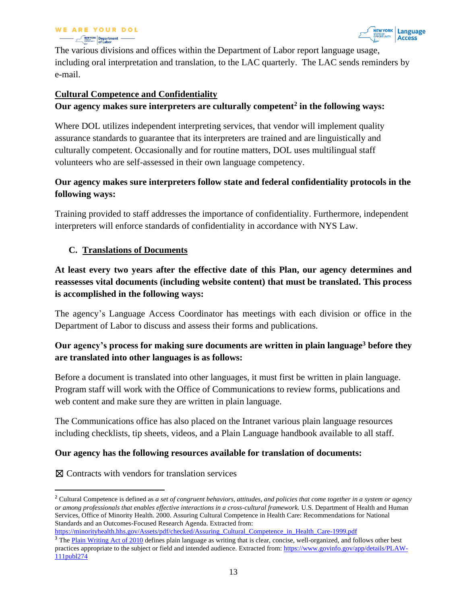

The various divisions and offices within the Department of Labor report language usage, including oral interpretation and translation, to the LAC quarterly. The LAC sends reminders by e-mail.

#### **Cultural Competence and Confidentiality**

#### **Our agency makes sure interpreters are culturally competent<sup>2</sup> in the following ways:**

Where DOL utilizes independent interpreting services, that vendor will implement quality assurance standards to guarantee that its interpreters are trained and are linguistically and culturally competent. Occasionally and for routine matters, DOL uses multilingual staff volunteers who are self-assessed in their own language competency.

#### **Our agency makes sure interpreters follow state and federal confidentiality protocols in the following ways:**

Training provided to staff addresses the importance of confidentiality. Furthermore, independent interpreters will enforce standards of confidentiality in accordance with NYS Law.

#### **C. Translations of Documents**

**At least every two years after the effective date of this Plan, our agency determines and reassesses vital documents (including website content) that must be translated. This process is accomplished in the following ways:**

The agency's Language Access Coordinator has meetings with each division or office in the Department of Labor to discuss and assess their forms and publications.

#### **Our agency's process for making sure documents are written in plain language<sup>3</sup> before they are translated into other languages is as follows:**

Before a document is translated into other languages, it must first be written in plain language. Program staff will work with the Office of Communications to review forms, publications and web content and make sure they are written in plain language.

The Communications office has also placed on the Intranet various plain language resources including checklists, tip sheets, videos, and a Plain Language handbook available to all staff.

#### **Our agency has the following resources available for translation of documents:**

☒ Contracts with vendors for translation services

<sup>2</sup> Cultural Competence is defined as *a set of congruent behaviors, attitudes, and policies that come together in a system or agency or among professionals that enables effective interactions in a cross-cultural framework.* U.S. Department of Health and Human Services, Office of Minority Health. 2000. Assuring Cultural Competence in Health Care: Recommendations for National Standards and an Outcomes-Focused Research Agenda. Extracted from:

[https://minorityhealth.hhs.gov/Assets/pdf/checked/Assuring\\_Cultural\\_Competence\\_in\\_Health\\_Care-1999.pdf](https://minorityhealth.hhs.gov/Assets/pdf/checked/Assuring_Cultural_Competence_in_Health_Care-1999.pdf)

<sup>&</sup>lt;sup>3</sup> The [Plain Writing Act of 2010](https://www.govinfo.gov/app/details/PLAW-111publ274) defines plain language as writing that is clear, concise, well-organized, and follows other best practices appropriate to the subject or field and intended audience. Extracted from: [https://www.govinfo.gov/app/details/PLAW-](https://www.govinfo.gov/app/details/PLAW-111publ274)[111publ274](https://www.govinfo.gov/app/details/PLAW-111publ274)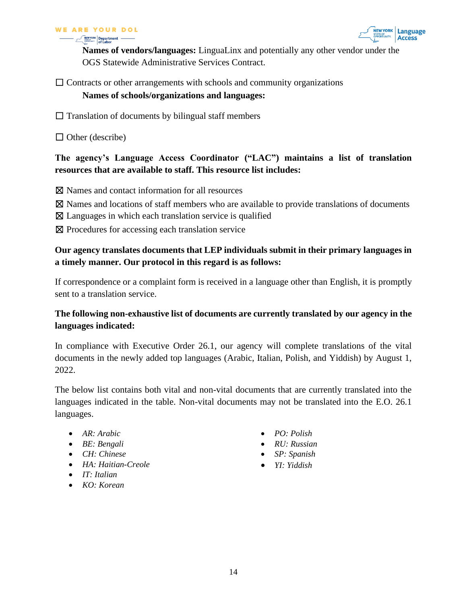



**Names of vendors/languages:** LinguaLinx and potentially any other vendor under the OGS Statewide Administrative Services Contract.

## $\Box$  Contracts or other arrangements with schools and community organizations

#### **Names of schools/organizations and languages:**

- $\Box$  Translation of documents by bilingual staff members
- $\Box$  Other (describe)

#### **The agency's Language Access Coordinator ("LAC") maintains a list of translation resources that are available to staff. This resource list includes:**

- ☒ Names and contact information for all resources
- ☒ Names and locations of staff members who are available to provide translations of documents
- $\boxtimes$  Languages in which each translation service is qualified
- ⊠ Procedures for accessing each translation service

#### **Our agency translates documents that LEP individuals submit in their primary languages in a timely manner. Our protocol in this regard is as follows:**

If correspondence or a complaint form is received in a language other than English, it is promptly sent to a translation service.

#### **The following non-exhaustive list of documents are currently translated by our agency in the languages indicated:**

In compliance with Executive Order 26.1, our agency will complete translations of the vital documents in the newly added top languages (Arabic, Italian, Polish, and Yiddish) by August 1, 2022.

The below list contains both vital and non-vital documents that are currently translated into the languages indicated in the table. Non-vital documents may not be translated into the E.O. 26.1 languages.

- *AR: Arabic*
- *BE: Bengali*
- *CH: Chinese*
- *HA: Haitian-Creole*
- *IT: Italian*
- *KO: Korean*
- *PO: Polish*
- *RU: Russian*
- *SP: Spanish*
- *YI: Yiddish*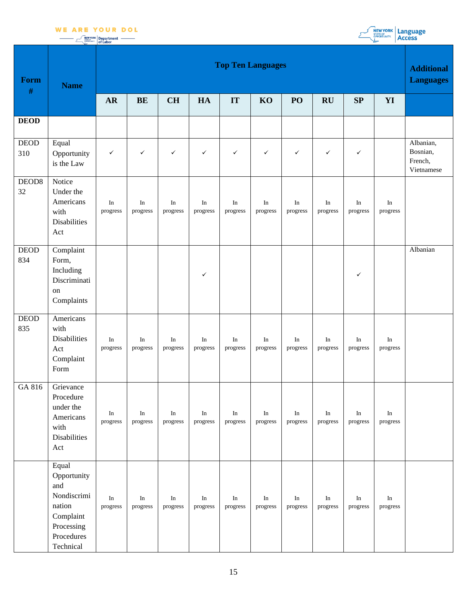



|              | <b>NEWYORK Department</b> |  |
|--------------|---------------------------|--|
| OPPORTUNITY. |                           |  |
|              | of Labor                  |  |

| <b>Form</b><br>$\#$     | <b>Name</b>                                                                                                | <b>Top Ten Languages</b> |                      |                       |                      |                       |                       |                                 |                                 |                      |                                 |                                                |  |
|-------------------------|------------------------------------------------------------------------------------------------------------|--------------------------|----------------------|-----------------------|----------------------|-----------------------|-----------------------|---------------------------------|---------------------------------|----------------------|---------------------------------|------------------------------------------------|--|
|                         |                                                                                                            | <b>AR</b>                | <b>BE</b>            | <b>CH</b>             | HA                   | IT                    | KO                    | PO                              | RU                              | SP                   | YI                              |                                                |  |
| <b>DEOD</b>             |                                                                                                            |                          |                      |                       |                      |                       |                       |                                 |                                 |                      |                                 |                                                |  |
| <b>DEOD</b><br>310      | Equal<br>Opportunity<br>is the Law                                                                         | $\checkmark$             | $\checkmark$         | $\checkmark$          | $\checkmark$         | $\checkmark$          | $\checkmark$          | $\checkmark$                    | $\checkmark$                    | $\checkmark$         |                                 | Albanian,<br>Bosnian,<br>French,<br>Vietnamese |  |
| DEOD <sub>8</sub><br>32 | Notice<br>Under the<br>Americans<br>with<br><b>Disabilities</b><br>Act                                     | In<br>progress           | In<br>progress       | In<br>progress        | In<br>progress       | In<br>progress        | In<br>progress        | $\rm{In}$<br>progress           | In<br>progress                  | In<br>progress       | $\rm{In}$<br>progress           |                                                |  |
| DEOD<br>834             | Complaint<br>Form,<br>Including<br>Discriminati<br>on<br>Complaints                                        |                          |                      |                       | ✓                    |                       |                       |                                 |                                 | $\checkmark$         |                                 | Albanian                                       |  |
| <b>DEOD</b><br>835      | Americans<br>with<br><b>Disabilities</b><br>Act<br>Complaint<br>Form                                       | In<br>progress           | In<br>progress       | In<br>progress        | In<br>progress       | In<br>progress        | In<br>progress        | In<br>progress                  | In<br>progress                  | In<br>progress       | $\rm{In}$<br>progress           |                                                |  |
| GA 816                  | Grievance<br>Procedure<br>under the<br>Americans<br>with<br><b>Disabilities</b><br>Act                     | In<br>progress           | $\rm In$<br>progress | $\rm{In}$<br>progress | $\rm In$<br>progress | $\rm{In}$<br>progress | $\rm{In}$<br>progress | $\operatorname{In}$<br>progress | $\operatorname{In}$<br>progress | $\rm In$<br>progress | $\operatorname{In}$<br>progress |                                                |  |
|                         | Equal<br>Opportunity<br>and<br>Nondiscrimi<br>nation<br>Complaint<br>Processing<br>Procedures<br>Technical | $\rm{In}$<br>progress    | In<br>progress       | In<br>progress        | In<br>progress       | $\rm{In}$<br>progress | In<br>progress        | In<br>progress                  | In<br>progress                  | In<br>progress       | $\operatorname{In}$<br>progress |                                                |  |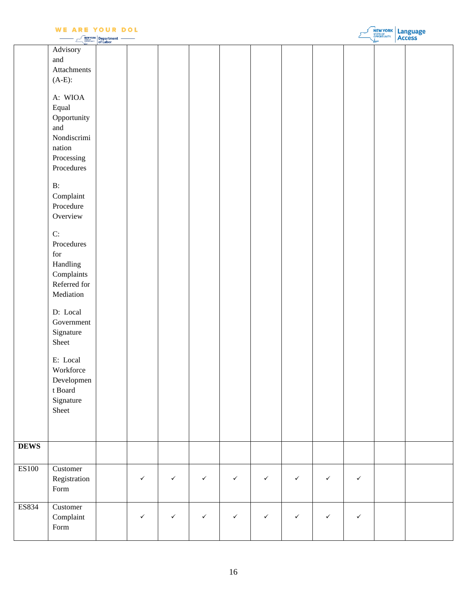|             | <b>WE ARE YOUR DOL</b><br>NEW YORK                                                                                                                                                                                                                                                                                                                                                                                     | Department<br>of Labor |              |              |              |              |              |              |              |              | <b>NEW YORK Language</b> |
|-------------|------------------------------------------------------------------------------------------------------------------------------------------------------------------------------------------------------------------------------------------------------------------------------------------------------------------------------------------------------------------------------------------------------------------------|------------------------|--------------|--------------|--------------|--------------|--------------|--------------|--------------|--------------|--------------------------|
|             | Advisory<br>and<br>Attachments<br>$(A-E)$ :<br>A: WIOA<br>Equal<br>Opportunity<br>and<br>Nondiscrimi<br>nation<br>Processing<br>Procedures<br>$B$ :<br>Complain<br>Procedure<br>Overview<br>C:<br>Procedures<br>for<br>Handling<br>Complaints<br>Referred for<br>Mediation<br>D: Local<br>Government<br>Signature<br>Sheet<br>E: Local<br>Workforce<br>Developmen<br>t $\mathop{\mathrm{Board}}$<br>Signature<br>Sheet |                        |              |              |              |              |              |              |              |              |                          |
| <b>DEWS</b> |                                                                                                                                                                                                                                                                                                                                                                                                                        |                        |              |              |              |              |              |              |              |              |                          |
| ES100       | Customer<br>Registration<br>$\ensuremath{\textnormal{\textbf{Form}}}$                                                                                                                                                                                                                                                                                                                                                  |                        | $\checkmark$ | $\checkmark$ | $\checkmark$ | $\checkmark$ | $\checkmark$ | $\checkmark$ | $\checkmark$ | $\checkmark$ |                          |
| ES834       | Customer<br>Complant<br>$\ensuremath{\mathsf{Form}}\xspace$                                                                                                                                                                                                                                                                                                                                                            |                        | $\checkmark$ | $\checkmark$ | $\checkmark$ | $\checkmark$ | $\checkmark$ | $\checkmark$ | $\checkmark$ | $\checkmark$ |                          |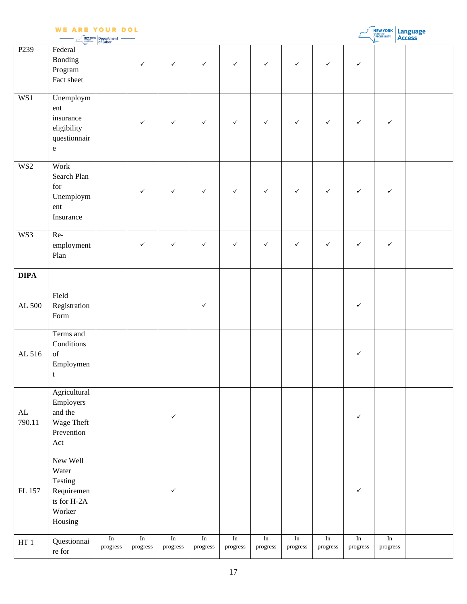| <b>WE ARE YOUR DOL</b><br><b>NEW YORK Language</b><br><b>NEW YORK</b><br>SHARE <b>Department</b> |                                                                                                                       |                  |              |                  |              |              |              |              |              |              |              |  |
|--------------------------------------------------------------------------------------------------|-----------------------------------------------------------------------------------------------------------------------|------------------|--------------|------------------|--------------|--------------|--------------|--------------|--------------|--------------|--------------|--|
| P <sub>239</sub>                                                                                 | Federal<br>Bonding<br>Program<br>Fact sheet                                                                           |                  | $\checkmark$ | $\checkmark$     | $\checkmark$ | $\checkmark$ | $\checkmark$ | $\checkmark$ | $\checkmark$ | $\checkmark$ |              |  |
| WS1                                                                                              | Unemploym<br>ent<br>insurance<br>eligibility<br>questionnair<br>${\bf e}$                                             |                  | $\checkmark$ | $\checkmark$     | $\checkmark$ | $\checkmark$ | $\checkmark$ | $\checkmark$ | $\checkmark$ | $\checkmark$ | $\checkmark$ |  |
| WS <sub>2</sub>                                                                                  | Work<br>Search Plan<br>${\rm for}$<br>Unemploym<br>ent<br>Insurance                                                   |                  | $\checkmark$ | $\checkmark$     | $\checkmark$ | $\checkmark$ | $\checkmark$ | $\checkmark$ | $\checkmark$ | $\checkmark$ | $\checkmark$ |  |
| WS3                                                                                              | Re-<br>employment<br>Plan                                                                                             |                  | $\checkmark$ | $\checkmark$     | $\checkmark$ | $\checkmark$ | $\checkmark$ | $\checkmark$ | $\checkmark$ | $\checkmark$ | $\checkmark$ |  |
| <b>DIPA</b>                                                                                      |                                                                                                                       |                  |              |                  |              |              |              |              |              |              |              |  |
| AL 500                                                                                           | Field<br>Registration<br>Form                                                                                         |                  |              |                  | $\checkmark$ |              |              |              |              | $\checkmark$ |              |  |
| AL 516                                                                                           | Terms and<br>Conditions<br>$\mathrm{of}% \left\vert \mathcal{H}\right\vert$<br>Employmen<br>$\ensuremath{\mathbf{t}}$ |                  |              |                  |              |              |              |              |              | $\checkmark$ |              |  |
| $\mathbf{AL}$<br>790.11                                                                          | Agricultural<br>Employers<br>and the<br>Wage Theft<br>Prevention<br>Act                                               |                  |              | $\checkmark$     |              |              |              |              |              | $\checkmark$ |              |  |
| FL 157                                                                                           | New Well<br>Water<br>Testing<br>Requiremen<br>ts for H-2A<br>Worker<br>Housing                                        |                  |              | $\checkmark$     |              |              |              |              |              | $\checkmark$ |              |  |
| HT $1\,$                                                                                         | Questionnai                                                                                                           | $\overline{\ln}$ | In           | $\overline{\ln}$ | In           | In           | In           | $\rm In$     | $\rm{In}$    | In           | In           |  |

progress

progress

progress

progress

progress

progress

re for

progress

progress

progress

progress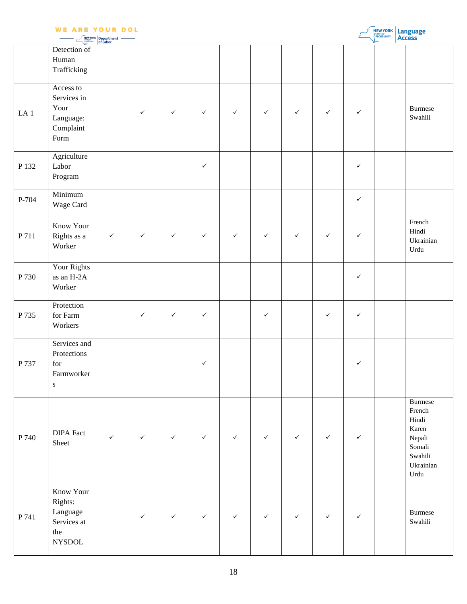|                 | <b>WE ARE YOUR DOL</b>                                                         | <b>NEW YORK</b> Department |              |              |              |              |              |              |              |              | <b>NEW YORK Language</b> |                                                                                                        |
|-----------------|--------------------------------------------------------------------------------|----------------------------|--------------|--------------|--------------|--------------|--------------|--------------|--------------|--------------|--------------------------|--------------------------------------------------------------------------------------------------------|
|                 | Detection of<br>Human<br>Trafficking                                           |                            |              |              |              |              |              |              |              |              |                          |                                                                                                        |
| LA <sub>1</sub> | Access to<br>Services in<br>Your<br>Language:<br>Complant<br>Form              |                            | ✓            | $\checkmark$ | $\checkmark$ | $\checkmark$ | $\checkmark$ | $\checkmark$ | $\checkmark$ | $\checkmark$ |                          | <b>Burmese</b><br>Swahili                                                                              |
| P 132           | Agriculture<br>Labor<br>${\bf Program}$                                        |                            |              |              | $\checkmark$ |              |              |              |              | $\checkmark$ |                          |                                                                                                        |
| P-704           | Minimum<br>Wage Card                                                           |                            |              |              |              |              |              |              |              | $\checkmark$ |                          |                                                                                                        |
| P 711           | Know Your<br>Rights as a<br>Worker                                             | $\checkmark$               | $\checkmark$ | $\checkmark$ | $\checkmark$ | $\checkmark$ | $\checkmark$ | $\checkmark$ | $\checkmark$ | $\checkmark$ |                          | French<br>Hindi<br>Ukrainian<br>Urdu                                                                   |
| P 730           | Your Rights<br>as an H-2A<br>Worker                                            |                            |              |              |              |              |              |              |              | $\checkmark$ |                          |                                                                                                        |
| P 735           | Protection<br>for Farm<br>Workers                                              |                            | ✓            | $\checkmark$ | $\checkmark$ |              | $\checkmark$ |              | $\checkmark$ | $\checkmark$ |                          |                                                                                                        |
| P 737           | Services and<br>Protections<br>for<br>Farmworker<br>${\bf S}$                  |                            |              |              | $\checkmark$ |              |              |              |              | $\checkmark$ |                          |                                                                                                        |
| P 740           | <b>DIPA Fact</b><br>Sheet                                                      | $\checkmark$               | $\checkmark$ | $\checkmark$ | $\checkmark$ | $\checkmark$ | $\checkmark$ | $\checkmark$ | $\checkmark$ | ✓            |                          | <b>Burmese</b><br>French<br>Hindi<br>Karen<br>${\it Nepali}$<br>Somali<br>Swahili<br>Ukrainian<br>Urdu |
| P 741           | Know Your<br>Rights:<br>$\rm Language$<br>Services at<br>the<br>${\tt NYSDOL}$ |                            | $\checkmark$ | $\checkmark$ | $\checkmark$ | $\checkmark$ | $\checkmark$ | $\checkmark$ | $\checkmark$ | $\checkmark$ |                          | Burmese<br>Swahili                                                                                     |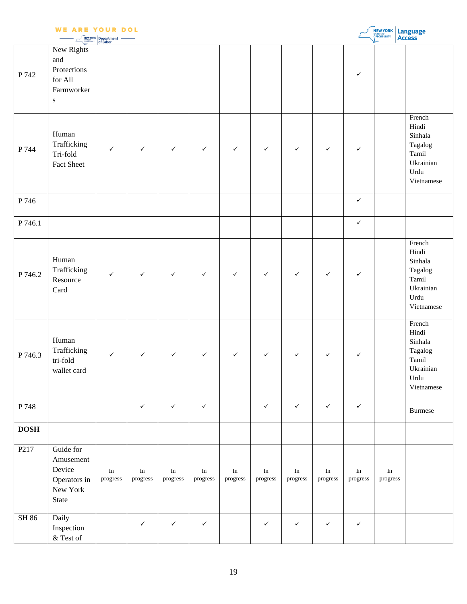|                  | <b>WE ARE YOUR DOL</b>                                                 | <b>NEW YORK</b> Department      |                       |                      |                                    |                       |                       |                                 |                       |                       | <b>NEW YORK Language</b>       |                                                                                                 |
|------------------|------------------------------------------------------------------------|---------------------------------|-----------------------|----------------------|------------------------------------|-----------------------|-----------------------|---------------------------------|-----------------------|-----------------------|--------------------------------|-------------------------------------------------------------------------------------------------|
| P 742            | New Rights<br>and<br>Protections<br>for All<br>Farmworker<br>${\bf S}$ |                                 |                       |                      |                                    |                       |                       |                                 |                       | $\checkmark$          |                                |                                                                                                 |
| P 744            | Human<br>Trafficking<br>Tri-fold<br>Fact Sheet                         | $\checkmark$                    | $\checkmark$          | $\checkmark$         | $\checkmark$                       | $\checkmark$          | $\checkmark$          | $\checkmark$                    | $\checkmark$          | $\checkmark$          |                                | French<br>Hindi<br>Sinhala<br>Tagalog<br>Tamil<br>Ukrainian<br>Urdu<br>Vietnamese               |
| P 746            |                                                                        |                                 |                       |                      |                                    |                       |                       |                                 |                       | $\checkmark$          |                                |                                                                                                 |
| P 746.1          |                                                                        |                                 |                       |                      |                                    |                       |                       |                                 |                       | $\checkmark$          |                                |                                                                                                 |
| P 746.2          | Human<br>Trafficking<br>Resource<br>Card                               | $\checkmark$                    | $\checkmark$          | $\checkmark$         | $\checkmark$                       | $\checkmark$          | $\checkmark$          | $\checkmark$                    | $\checkmark$          | $\checkmark$          |                                | $\overline{F}$ rench<br>Hindi<br>Sinhala<br>Tagalog<br>Tamil<br>Ukrainian<br>Urdu<br>Vietnamese |
| P 746.3          | Human<br>Trafficking<br>tri-fold<br>wallet card                        | $\checkmark$                    | $\checkmark$          | $\checkmark$         | $\checkmark$                       | $\checkmark$          | $\checkmark$          | $\checkmark$                    | $\checkmark$          | $\checkmark$          |                                | French<br>Hindi<br>Sinhala<br>Tagalog<br>Tamil<br>Ukrainian<br>Urdu<br>Vietnamese               |
| P 748            |                                                                        |                                 | $\checkmark$          | $\checkmark$         | $\checkmark$                       |                       | $\checkmark$          | $\checkmark$                    | $\checkmark$          | $\checkmark$          |                                | Burmese                                                                                         |
| <b>DOSH</b>      |                                                                        |                                 |                       |                      |                                    |                       |                       |                                 |                       |                       |                                |                                                                                                 |
| P <sub>217</sub> | Guide for<br>Amusement<br>Device<br>Operators in<br>New York<br>State  | $\operatorname{In}$<br>progress | $\rm{In}$<br>progress | $\rm In$<br>progress | $\mathop{\mathrm{In}}$<br>progress | $\rm{In}$<br>progress | $\rm{In}$<br>progress | $\operatorname{In}$<br>progress | $\rm{In}$<br>progress | $\rm{In}$<br>progress | $\rm{In}$<br>$\bold{progress}$ |                                                                                                 |
| SH 86            | Daily<br>Inspection<br>$\&$ Test of                                    |                                 | $\checkmark$          | $\checkmark$         | $\checkmark$                       |                       | $\checkmark$          | $\checkmark$                    | $\checkmark$          | $\checkmark$          |                                |                                                                                                 |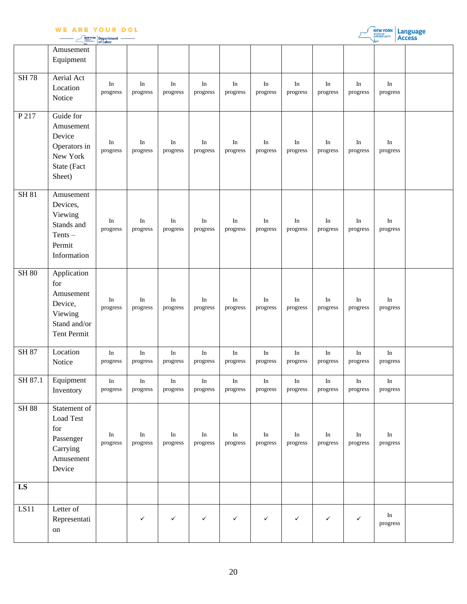|  | <b>NEW YORK Department</b> |  |
|--|----------------------------|--|

|              |                                                                                             | of Labor              |                       |                                 |                                 |                      |                |                       |                       |                | ➤<br>л.                            |  |
|--------------|---------------------------------------------------------------------------------------------|-----------------------|-----------------------|---------------------------------|---------------------------------|----------------------|----------------|-----------------------|-----------------------|----------------|------------------------------------|--|
|              | Amusement<br>Equipment                                                                      |                       |                       |                                 |                                 |                      |                |                       |                       |                |                                    |  |
| <b>SH78</b>  | Aerial Act<br>Location<br>Notice                                                            | $\rm{In}$<br>progress | In<br>progress        | In<br>progress                  | In<br>progress                  | $\rm In$<br>progress | In<br>progress | $\rm{In}$<br>progress | In<br>progress        | In<br>progress | In<br>progress                     |  |
| P 217        | Guide for<br>Amusement<br>Device<br>Operators in<br>New York<br>State (Fact<br>Sheet)       | $\rm{In}$<br>progress | In<br>progress        | In<br>progress                  | In<br>progress                  | In<br>progress       | In<br>progress | In<br>progress        | In<br>progress        | In<br>progress | In<br>progress                     |  |
| <b>SH 81</b> | Amusement<br>Devices,<br>Viewing<br>Stands and<br>$Tents -$<br>Permit<br>Information        | $\rm{In}$<br>progress | In<br>progress        | In<br>progress                  | In<br>progress                  | In<br>progress       | In<br>progress | In<br>progress        | In<br>progress        | In<br>progress | In<br>progress                     |  |
| <b>SH 80</b> | Application<br>for<br>Amusement<br>Device,<br>Viewing<br>Stand and/or<br><b>Tent Permit</b> | In<br>progress        | In<br>progress        | In<br>progress                  | In<br>progress                  | In<br>progress       | In<br>progress | $\rm{In}$<br>progress | In<br>progress        | In<br>progress | In<br>progress                     |  |
| SH 87        | Location<br>Notice                                                                          | $\rm{In}$<br>progress | $\rm{In}$<br>progress | $\operatorname{In}$<br>progress | $\operatorname{In}$<br>progress | $\rm In$<br>progress | In<br>progress | $\rm{In}$<br>progress | $\rm{In}$<br>progress | In<br>progress | $\mathop{\mathrm{In}}$<br>progress |  |
| SH 87.1      | Equipment<br>Inventory                                                                      | In<br>progress        | In<br>progress        | In<br>progress                  | In<br>progress                  | In<br>progress       | In<br>progress | In<br>progress        | In<br>progress        | In<br>progress | In<br>progress                     |  |
| <b>SH 88</b> | Statement of<br>Load Test<br>for<br>Passenger<br>Carrying<br>Amusement<br>Device            | $\rm{In}$<br>progress | In<br>progress        | In<br>progress                  | In<br>progress                  | In<br>progress       | In<br>progress | $\rm{In}$<br>progress | In<br>progress        | In<br>progress | In<br>progress                     |  |
| LS           |                                                                                             |                       |                       |                                 |                                 |                      |                |                       |                       |                |                                    |  |
| LS11         | Letter of<br>Representati<br>on                                                             |                       | ✓                     | $\checkmark$                    | $\checkmark$                    | $\checkmark$         | $\checkmark$   | $\checkmark$          | $\checkmark$          | $\checkmark$   | In<br>progress                     |  |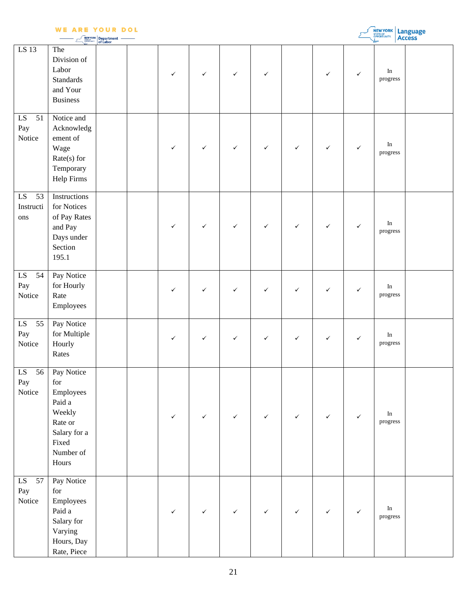|  | - - | -                                                                                                               |  |
|--|-----|-----------------------------------------------------------------------------------------------------------------|--|
|  |     | the contract of the contract of the contract of the contract of the contract of the contract of the contract of |  |

| <b>WE ARE YOUR DOL</b><br>NEW YORK<br>Language<br>Access<br>Department<br>of Labor |                                                                                                              |  |  |              |              |              |              |              |              |              |                       |  |
|------------------------------------------------------------------------------------|--------------------------------------------------------------------------------------------------------------|--|--|--------------|--------------|--------------|--------------|--------------|--------------|--------------|-----------------------|--|
| LS 13                                                                              | The<br>Division of<br>Labor<br><b>Standards</b><br>and Your<br><b>Business</b>                               |  |  | $\checkmark$ | $\checkmark$ | $\checkmark$ | $\checkmark$ |              | $\checkmark$ | $\checkmark$ | In<br>progress        |  |
| LS<br>51<br>Pay<br>Notice                                                          | Notice and<br>Acknowledg<br>ement of<br>Wage<br>$Rate(s)$ for<br>Temporary<br><b>Help Firms</b>              |  |  | $\checkmark$ | $\checkmark$ | $\checkmark$ | $\checkmark$ | $\checkmark$ | $\checkmark$ | $\checkmark$ | In<br>progress        |  |
| ${\rm LS}$<br>53<br>Instructi<br>ons                                               | Instructions<br>for Notices<br>of Pay Rates<br>and Pay<br>Days under<br>Section<br>195.1                     |  |  | $\checkmark$ | $\checkmark$ | $\checkmark$ | $\checkmark$ | $\checkmark$ | $\checkmark$ | $\checkmark$ | $\rm{In}$<br>progress |  |
| ${\rm LS}$<br>54<br>Pay<br>Notice                                                  | Pay Notice<br>for Hourly<br>Rate<br>Employees                                                                |  |  | $\checkmark$ | $\checkmark$ | $\checkmark$ | $\checkmark$ | $\checkmark$ | $\checkmark$ | $\checkmark$ | $\rm{In}$<br>progress |  |
| ${\rm LS}$<br>55<br>Pay<br>Notice                                                  | Pay Notice<br>for Multiple<br>Hourly<br>Rates                                                                |  |  | $\checkmark$ | $\checkmark$ | $\checkmark$ | $\checkmark$ | $\checkmark$ | $\checkmark$ | $\checkmark$ | In<br>progress        |  |
| 56<br>LS<br>Pay<br>Notice                                                          | Pay Notice<br>for<br>Employees<br>Paid a<br>Weekly<br>Rate or<br>Salary for a<br>Fixed<br>Number of<br>Hours |  |  | $\checkmark$ | $\checkmark$ | $\checkmark$ | $\checkmark$ | $\checkmark$ | $\checkmark$ | $\checkmark$ | In<br>progress        |  |
| ${\rm LS}$<br>57<br>Pay<br>Notice                                                  | Pay Notice<br>for<br>Employees<br>Paid a<br>Salary for<br>Varying<br>Hours, Day<br>Rate, Piece               |  |  | $\checkmark$ | $\checkmark$ | $\checkmark$ | $\checkmark$ | $\checkmark$ | $\checkmark$ | $\checkmark$ | $\rm{In}$<br>progress |  |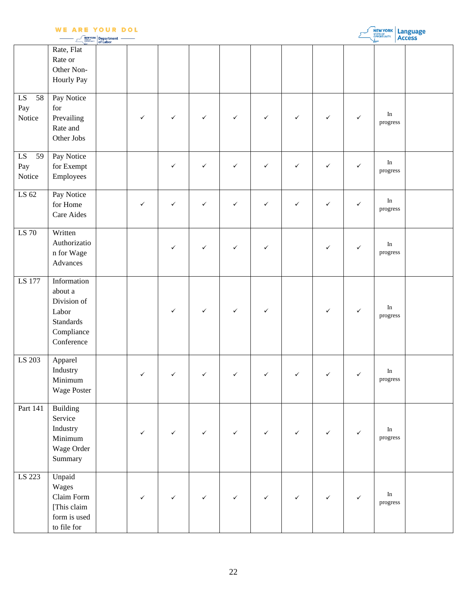|                                   | ARE                                                                                            | YOUR DOL<br><b>NEW YORK</b> Department |              |              |              |              |              |              |              |              | <b>NEW YORK</b>                 | Language<br>Access |
|-----------------------------------|------------------------------------------------------------------------------------------------|----------------------------------------|--------------|--------------|--------------|--------------|--------------|--------------|--------------|--------------|---------------------------------|--------------------|
|                                   | Rate, Flat<br>Rate or<br>Other Non-<br><b>Hourly Pay</b>                                       |                                        |              |              |              |              |              |              |              |              |                                 |                    |
| ${\rm LS}$<br>58<br>Pay<br>Notice | Pay Notice<br>for<br>Prevailing<br>Rate and<br>Other Jobs                                      |                                        | ✓            | $\checkmark$ | $\checkmark$ | $\checkmark$ | $\checkmark$ | $\checkmark$ | $\checkmark$ | ✓            | $\rm{In}$<br>progress           |                    |
| ${\rm LS}$<br>59<br>Pay<br>Notice | Pay Notice<br>for Exempt<br>Employees                                                          |                                        |              | $\checkmark$ | $\checkmark$ | $\checkmark$ | $\checkmark$ | $\checkmark$ | $\checkmark$ | ✓            | In<br>progress                  |                    |
| LS 62                             | Pay Notice<br>for Home<br>Care Aides                                                           |                                        | $\checkmark$ | $\checkmark$ | $\checkmark$ | $\checkmark$ | $\checkmark$ | $\checkmark$ | $\checkmark$ | ✓            | In<br>progress                  |                    |
| LS 70                             | Written<br>Authorizatio<br>n for Wage<br>Advances                                              |                                        |              | $\checkmark$ | $\checkmark$ | $\checkmark$ | $\checkmark$ |              | $\checkmark$ | ✓            | $\rm In$<br>progress            |                    |
| LS 177                            | Information<br>about a<br>Division of<br>Labor<br><b>Standards</b><br>Compliance<br>Conference |                                        |              | $\checkmark$ | $\checkmark$ | $\checkmark$ | $\checkmark$ |              | $\checkmark$ | $\checkmark$ | $\rm{In}$<br>progress           |                    |
| LS 203                            | Apparel<br>Industry<br>Minimum<br>Wage Poster                                                  |                                        | $\checkmark$ | $\checkmark$ | $\checkmark$ | $\checkmark$ | $\checkmark$ | $\checkmark$ | $\checkmark$ | $\checkmark$ | $\operatorname{In}$<br>progress |                    |
| Part 141                          | <b>Building</b><br>Service<br>Industry<br>Minimum<br>Wage Order<br>Summary                     |                                        | ✓            | $\checkmark$ | $\checkmark$ | $\checkmark$ | $\checkmark$ | ✓            | $\checkmark$ | $\checkmark$ | $\rm{In}$<br>progress           |                    |
| LS 223                            | Unpaid<br>Wages<br>Claim Form<br>[This claim<br>form is used<br>to file for                    |                                        | ✓            | ✓            | ✓            | ✓            | ✓            | ✓            | $\checkmark$ | ✓            | $\rm{In}$<br>progress           |                    |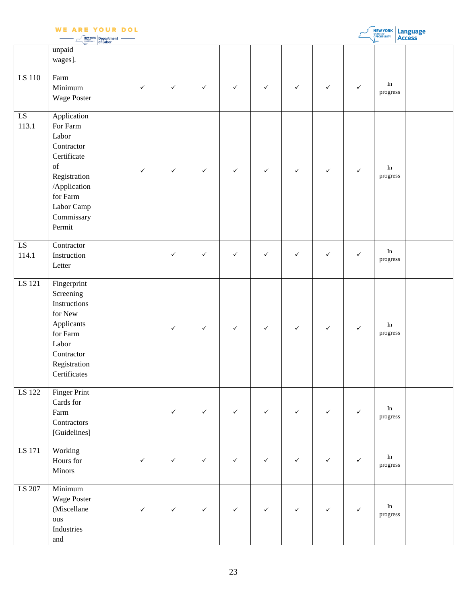|                     | W E<br>ARE                                                                                                                                                                                                                                            | YOUR DOL<br><b>NEW YORK</b> Department |              |              |              |              |              |              |              |              | <b>NEW YORK Language</b>       |  |
|---------------------|-------------------------------------------------------------------------------------------------------------------------------------------------------------------------------------------------------------------------------------------------------|----------------------------------------|--------------|--------------|--------------|--------------|--------------|--------------|--------------|--------------|--------------------------------|--|
|                     | unpaid<br>wages].                                                                                                                                                                                                                                     |                                        |              |              |              |              |              |              |              |              |                                |  |
| LS 110              | Farm<br>Minimum<br>Wage Poster                                                                                                                                                                                                                        |                                        | $\checkmark$ | $\checkmark$ | $\checkmark$ | $\checkmark$ | $\checkmark$ | $\checkmark$ | $\checkmark$ | $\checkmark$ | $\rm{In}$<br>progress          |  |
| LS<br>113.1         | Application<br>For Farm<br>Labor<br>Contractor<br>Certificate<br>$% \left( \left( \mathcal{A},\mathcal{A}\right) \right) =\left( \mathcal{A},\mathcal{A}\right)$ of<br>Registration<br>/Application<br>for Farm<br>Labor Camp<br>Commissary<br>Permit |                                        | $\checkmark$ | $\checkmark$ | $\checkmark$ | $\checkmark$ | $\checkmark$ | $\checkmark$ | $\checkmark$ | $\checkmark$ | In<br>progress                 |  |
| ${\rm LS}$<br>114.1 | Contractor<br>Instruction<br>Letter                                                                                                                                                                                                                   |                                        |              | $\checkmark$ | $\checkmark$ | $\checkmark$ | $\checkmark$ | $\checkmark$ | $\checkmark$ | $\checkmark$ | $\rm{In}$<br>progress          |  |
| LS 121              | Fingerprint<br>Screening<br>Instructions<br>for New<br>Applicants<br>for Farm<br>Labor<br>Contractor<br>Registration<br>Certificates                                                                                                                  |                                        |              | $\checkmark$ | $\checkmark$ | $\checkmark$ | $\checkmark$ | $\checkmark$ | $\checkmark$ | $\checkmark$ | $\rm In$<br>progress           |  |
| LS 122              | <b>Finger Print</b><br>Cards for<br>Farm<br>Contractors<br>[Guidelines]                                                                                                                                                                               |                                        |              | $\checkmark$ | $\checkmark$ | $\checkmark$ | $\checkmark$ | $\checkmark$ | $\checkmark$ | $\checkmark$ | In<br>progress                 |  |
| LS 171              | Working<br>Hours for<br>Minors                                                                                                                                                                                                                        |                                        | $\checkmark$ | $\checkmark$ | $\checkmark$ | $\checkmark$ | $\checkmark$ | $\checkmark$ | $\checkmark$ | $\checkmark$ | In<br>progress                 |  |
| LS 207              | Minimum<br>Wage Poster<br>(Miscellane<br>ous<br>Industries<br>and                                                                                                                                                                                     |                                        | ✓            | $\checkmark$ | $\checkmark$ | $\checkmark$ | $\checkmark$ | $\checkmark$ | $\checkmark$ | $\checkmark$ | $\rm{In}$<br>$\bold{progress}$ |  |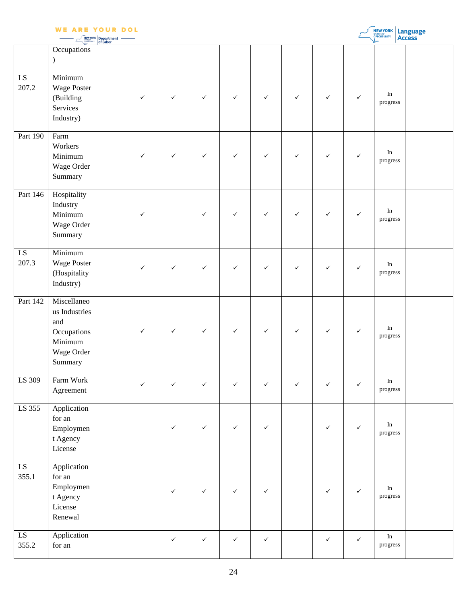|                     | <b>WE ARE YOUR DOL</b>                                                                 |                        | <b>NEW YORK</b><br>STATE OF<br>OPPORTUNITY.<br>Language<br>Access |              |              |              |              |              |              |              |                       |  |
|---------------------|----------------------------------------------------------------------------------------|------------------------|-------------------------------------------------------------------|--------------|--------------|--------------|--------------|--------------|--------------|--------------|-----------------------|--|
|                     | Occupations<br>$\mathcal{L}$                                                           | Department<br>of Labor |                                                                   |              |              |              |              |              |              |              |                       |  |
| ${\rm LS}$<br>207.2 | Minimum<br>Wage Poster<br>(Building<br>Services<br>Industry)                           |                        | ✓                                                                 | $\checkmark$ | $\checkmark$ | $\checkmark$ | $\checkmark$ | $\checkmark$ | $\checkmark$ | ✓            | $\rm{In}$<br>progress |  |
| Part 190            | Farm<br>Workers<br>Minimum<br>Wage Order<br>Summary                                    |                        | ✓                                                                 | $\checkmark$ | $\checkmark$ | $\checkmark$ | $\checkmark$ | $\checkmark$ | $\checkmark$ | $\checkmark$ | $\rm In$<br>progress  |  |
| Part 146            | Hospitality<br>Industry<br>Minimum<br>Wage Order<br>Summary                            |                        | ✓                                                                 |              | $\checkmark$ | ✓            | $\checkmark$ | $\checkmark$ | $\checkmark$ | ✓            | In<br>progress        |  |
| ${\rm LS}$<br>207.3 | Minimum<br>Wage Poster<br>(Hospitality<br>Industry)                                    |                        | ✓                                                                 | $\checkmark$ | $\checkmark$ | $\checkmark$ | $\checkmark$ | ✓            | $\checkmark$ | ✓            | $\rm{In}$<br>progress |  |
| Part 142            | Miscellaneo<br>us Industries<br>and<br>Occupations<br>Minimum<br>Wage Order<br>Summary |                        | ✓                                                                 | $\checkmark$ | $\checkmark$ | $\checkmark$ | $\checkmark$ | $\checkmark$ | $\checkmark$ | $\checkmark$ | $\rm In$<br>progress  |  |
| LS 309              | Farm Work<br>Agreement                                                                 |                        | $\checkmark$                                                      | $\checkmark$ | $\checkmark$ | $\checkmark$ | $\checkmark$ | $\checkmark$ | $\checkmark$ | $\checkmark$ | $\rm{In}$<br>progress |  |
| LS 355              | Application<br>for an<br>Employmen<br>t Agency<br>License                              |                        |                                                                   | $\checkmark$ | $\checkmark$ | ✓            | $\checkmark$ |              | $\checkmark$ | $\checkmark$ | In<br>progress        |  |
| LS<br>355.1         | Application<br>for an<br>Employmen<br>t Agency<br>License<br>Renewal                   |                        |                                                                   | $\checkmark$ | $\checkmark$ | $\checkmark$ | $\checkmark$ |              | $\checkmark$ | $\checkmark$ | $\rm{In}$<br>progress |  |
| LS<br>355.2         | Application<br>$\quad$ for an                                                          |                        |                                                                   | $\checkmark$ | $\checkmark$ | $\checkmark$ | $\checkmark$ |              | $\checkmark$ | $\checkmark$ | $\rm In$<br>progress  |  |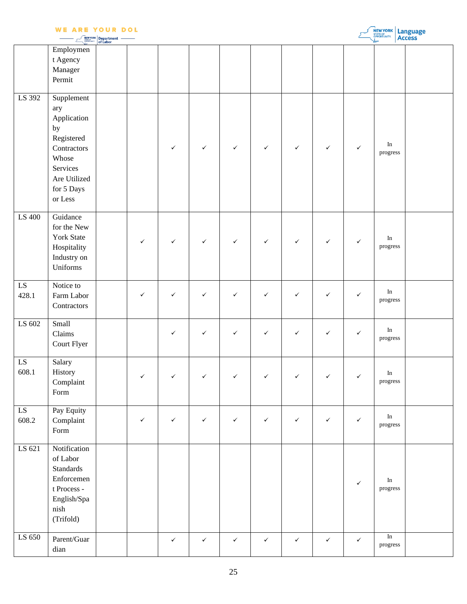|                     | <b>WE ARE YOUR DOL</b>                                                                                                            | <b>NEW YORK Department</b> |              |              |              |              |              |              |              |              | NEW YORK                        | Language<br>Access |
|---------------------|-----------------------------------------------------------------------------------------------------------------------------------|----------------------------|--------------|--------------|--------------|--------------|--------------|--------------|--------------|--------------|---------------------------------|--------------------|
|                     | Employmen<br>t Agency<br>Manager<br>Permit                                                                                        |                            |              |              |              |              |              |              |              |              |                                 |                    |
| LS 392              | Supplement<br>ary<br>Application<br>by<br>Registered<br>Contractors<br>Whose<br>Services<br>Are Utilized<br>for 5 Days<br>or Less |                            |              | $\checkmark$ | $\checkmark$ | $\checkmark$ | $\checkmark$ | $\checkmark$ | $\checkmark$ | $\checkmark$ | In<br>progress                  |                    |
| LS 400              | Guidance<br>for the New<br>York State<br>Hospitality<br>Industry on<br>Uniforms                                                   |                            | $\checkmark$ | $\checkmark$ | $\checkmark$ | $\checkmark$ | $\checkmark$ | $\checkmark$ | $\checkmark$ | $\checkmark$ | In<br>progress                  |                    |
| ${\rm LS}$<br>428.1 | Notice to<br>Farm Labor<br>Contractors                                                                                            |                            | $\checkmark$ | $\checkmark$ | $\checkmark$ | $\checkmark$ | $\checkmark$ | $\checkmark$ | $\checkmark$ | $\checkmark$ | $\operatorname{In}$<br>progress |                    |
| LS 602              | Small<br>Claims<br>Court Flyer                                                                                                    |                            |              | $\checkmark$ | $\checkmark$ | $\checkmark$ | $\checkmark$ | $\checkmark$ | $\checkmark$ | $\checkmark$ | $\rm{In}$<br>progress           |                    |
| LS<br>608.1         | Salary<br>History<br>Complant<br>Form                                                                                             |                            | $\checkmark$ | $\checkmark$ | $\checkmark$ | $\checkmark$ | $\checkmark$ | $\checkmark$ | $\checkmark$ | $\checkmark$ | $\rm{In}$<br>progress           |                    |
| LS<br>608.2         | Pay Equity<br>Complaint<br>Form                                                                                                   |                            | $\checkmark$ | $\checkmark$ | $\checkmark$ | $\checkmark$ | $\checkmark$ | $\checkmark$ | $\checkmark$ | $\checkmark$ | $\rm{In}$<br>progress           |                    |
| LS 621              | Notification<br>of Labor<br>Standards<br>Enforcemen<br>t Process -<br>English/Spa<br>nish<br>(Trifold)                            |                            |              |              |              |              |              |              |              | $\checkmark$ | $\rm{In}$<br>progress           |                    |
| LS 650              | Parent/Guar<br>dian                                                                                                               |                            |              | $\checkmark$ | $\checkmark$ | $\checkmark$ | $\checkmark$ | $\checkmark$ | $\checkmark$ | $\checkmark$ | $\overline{\ln}$<br>progress    |                    |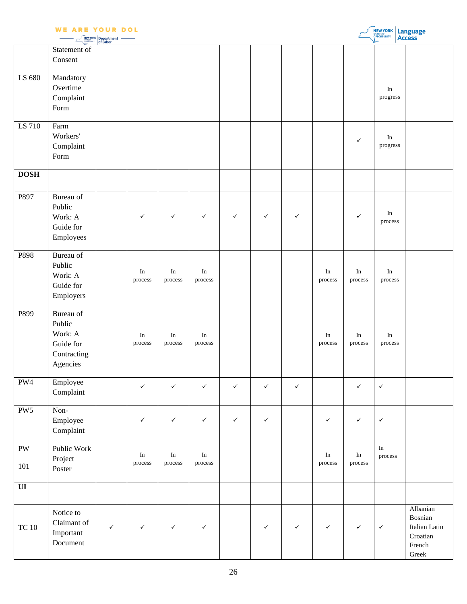|                               | <b>WE ARE YOUR DOL</b>                                                 | $\left  \frac{NEWYORK}{NPLWMVORK} \right $ Department $-$ |                     |                      |                     |              |              |              |                     |                     | <b>NEW YORK Language</b> |                                                                             |
|-------------------------------|------------------------------------------------------------------------|-----------------------------------------------------------|---------------------|----------------------|---------------------|--------------|--------------|--------------|---------------------|---------------------|--------------------------|-----------------------------------------------------------------------------|
|                               | Statement of<br>Consent                                                |                                                           |                     |                      |                     |              |              |              |                     |                     |                          |                                                                             |
| LS 680                        | Mandatory<br>Overtime<br>Complaint<br>Form                             |                                                           |                     |                      |                     |              |              |              |                     |                     | In<br>progress           |                                                                             |
| LS 710                        | Farm<br>Workers'<br>Complaint<br>Form                                  |                                                           |                     |                      |                     |              |              |              |                     | $\checkmark$        | In<br>progress           |                                                                             |
| <b>DOSH</b>                   |                                                                        |                                                           |                     |                      |                     |              |              |              |                     |                     |                          |                                                                             |
| P897                          | Bureau of<br>Public<br>Work: A<br>Guide for<br>Employees               |                                                           | $\checkmark$        | $\checkmark$         | $\checkmark$        | $\checkmark$ | $\checkmark$ | $\checkmark$ |                     | $\checkmark$        | In<br>process            |                                                                             |
| P898                          | Bureau of<br>Public<br>Work: A<br>Guide for<br>Employers               |                                                           | In<br>process       | In<br>process        | In<br>process       |              |              |              | In<br>process       | In<br>process       | $\rm{In}$<br>process     |                                                                             |
| P899                          | Bureau of<br>Public<br>Work: A<br>Guide for<br>Contracting<br>Agencies |                                                           | $\rm In$<br>process | In<br>process        | $\rm In$<br>process |              |              |              | In<br>process       | In<br>process       | $\rm In$<br>process      |                                                                             |
| PW4                           | Employee<br>Complaint                                                  |                                                           | $\checkmark$        | $\checkmark$         | $\checkmark$        | $\checkmark$ | $\checkmark$ | $\checkmark$ |                     | $\checkmark$        | $\checkmark$             |                                                                             |
| PW <sub>5</sub>               | Non-<br>Employee<br>Complaint                                          |                                                           | $\checkmark$        | $\checkmark$         | $\checkmark$        | $\checkmark$ | $\checkmark$ |              | $\checkmark$        | $\checkmark$        | $\checkmark$             |                                                                             |
| $\mathbf{P}\mathbf{W}$<br>101 | Public Work<br>Project<br>Poster                                       |                                                           | In<br>process       | $\rm{In}$<br>process | In<br>process       |              |              |              | $\rm In$<br>process | $\rm In$<br>process | In<br>process            |                                                                             |
| $\mathbf{U}$                  |                                                                        |                                                           |                     |                      |                     |              |              |              |                     |                     |                          |                                                                             |
| $TC$ 10                       | Notice to<br>Claimant of<br>Important<br>Document                      | $\checkmark$                                              | $\checkmark$        | $\checkmark$         | $\checkmark$        |              | $\checkmark$ | ✓            | ✓                   | $\checkmark$        | $\checkmark$             | Albanian<br>Bosnian<br>Italian Latin<br>Croatian<br>French<br>${\rm Greek}$ |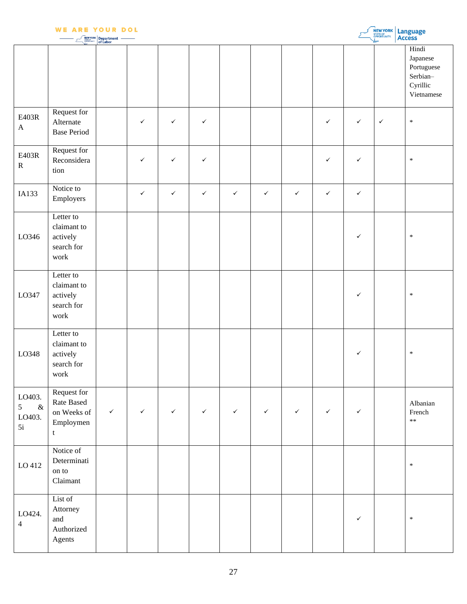|                                     | <b>WE ARE YOUR DOL</b>                                     | <b>NEW YORK</b> Department |              |              |              |              |              |              |              |              | <b>NEW YORK Language</b> |                                                                       |
|-------------------------------------|------------------------------------------------------------|----------------------------|--------------|--------------|--------------|--------------|--------------|--------------|--------------|--------------|--------------------------|-----------------------------------------------------------------------|
|                                     |                                                            |                            |              |              |              |              |              |              |              |              |                          | Hindi<br>Japanese<br>Portuguese<br>Serbian-<br>Cyrillic<br>Vietnamese |
| E403R<br>$\boldsymbol{\rm{A}}$      | Request for<br>Alternate<br><b>Base Period</b>             |                            | $\checkmark$ | $\checkmark$ | $\checkmark$ |              |              |              | $\checkmark$ | $\checkmark$ | $\checkmark$             | $\ast$                                                                |
| E403R<br>${\bf R}$                  | Request for<br>Reconsidera<br>tion                         |                            | $\checkmark$ | $\checkmark$ | $\checkmark$ |              |              |              | $\checkmark$ | $\checkmark$ |                          | $\ast$                                                                |
| IA133                               | Notice to<br>Employers                                     |                            | $\checkmark$ | $\checkmark$ | $\checkmark$ | $\checkmark$ | $\checkmark$ | $\checkmark$ | $\checkmark$ | $\checkmark$ |                          |                                                                       |
| LO346                               | Letter to<br>claimant to<br>actively<br>search for<br>work |                            |              |              |              |              |              |              |              | $\checkmark$ |                          | $\ast$                                                                |
| LO347                               | Letter to<br>claimant to<br>actively<br>search for<br>work |                            |              |              |              |              |              |              |              | $\checkmark$ |                          | $\ast$                                                                |
| LO348                               | Letter to<br>claimant to<br>actively<br>search for<br>work |                            |              |              |              |              |              |              |              | ✓            |                          | $\ast$                                                                |
| LO403.<br>$\&$<br>5<br>LO403.<br>5i | Request for<br>Rate Based<br>on Weeks of<br>Employmen<br>t | $\checkmark$               | $\checkmark$ | $\checkmark$ | $\checkmark$ | $\checkmark$ | $\checkmark$ | $\checkmark$ | $\checkmark$ | $\checkmark$ |                          | Albanian<br>French<br>$**$                                            |
| LO 412                              | Notice of<br>Determinati<br>on to<br>Claimant              |                            |              |              |              |              |              |              |              |              |                          | $\ast$                                                                |
| LO424.<br>$\overline{4}$            | List of<br>Attorney<br>and<br>Authorized<br>Agents         |                            |              |              |              |              |              |              |              | $\checkmark$ |                          | $\ast$                                                                |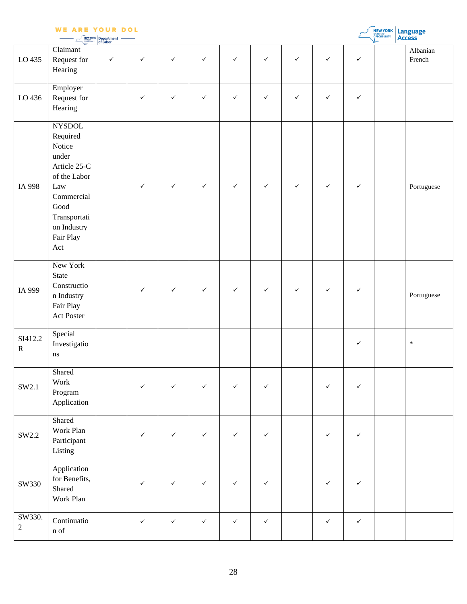| <b>WE ARE YOUR DOL</b> |  |  |
|------------------------|--|--|
|                        |  |  |

|  | <b>NEWYORK</b> Department |  |
|--|---------------------------|--|

|                      |                                                                                                                                                                                                                                                                 | <b>NEW YORK</b> Department — |              |              |              |              |              |              |              |              | <b>OPPORTUNITY.</b> | <b>Access</b>      |
|----------------------|-----------------------------------------------------------------------------------------------------------------------------------------------------------------------------------------------------------------------------------------------------------------|------------------------------|--------------|--------------|--------------|--------------|--------------|--------------|--------------|--------------|---------------------|--------------------|
| LO 435               | Claimant<br>Request for<br>Hearing                                                                                                                                                                                                                              | $\checkmark$                 | $\checkmark$ | $\checkmark$ | $\checkmark$ | $\checkmark$ | $\checkmark$ | $\checkmark$ | $\checkmark$ | $\checkmark$ |                     | Albanian<br>French |
| LO 436               | Employer<br>Request for<br>Hearing                                                                                                                                                                                                                              |                              | ✓            | ✓            | ✓            | $\checkmark$ | $\checkmark$ | ✓            | $\checkmark$ | $\checkmark$ |                     |                    |
| IA 998               | <b>NYSDOL</b><br>Required<br>Notice<br>under<br>Article 25-C<br>of the Labor<br>$Law -$<br>Commercial<br>$\operatorname{Good}$<br>$\label{eq:transport} \begin{minipage}{.4\linewidth} \textbf{Transportati} \end{minipage}$<br>on Industry<br>Fair Play<br>Act |                              | $\checkmark$ | $\checkmark$ | $\checkmark$ | $\checkmark$ | $\checkmark$ | $\checkmark$ | $\checkmark$ | $\checkmark$ |                     | Portuguese         |
| IA 999               | New York<br>State<br>Constructio<br>n Industry<br>Fair Play<br>Act Poster                                                                                                                                                                                       |                              | $\checkmark$ | $\checkmark$ | $\checkmark$ | $\checkmark$ | $\checkmark$ | ✓            | $\checkmark$ | ✓            |                     | Portuguese         |
| SI412.2<br>${\bf R}$ | Special<br>Investigatio<br>$\bf ns$                                                                                                                                                                                                                             |                              |              |              |              |              |              |              |              | $\checkmark$ |                     | $\ast$             |
| SW2.1                | Shared<br>Work<br>Program<br>Application                                                                                                                                                                                                                        |                              | ✓            | ✓            | ✓            | $\checkmark$ | ✓            |              | ✓            | $\checkmark$ |                     |                    |
| SW2.2                | Shared<br>Work Plan<br>Participant<br>Listing                                                                                                                                                                                                                   |                              | ✓            | $\checkmark$ | $\checkmark$ | $\checkmark$ | $\checkmark$ |              | ✓            | $\checkmark$ |                     |                    |
| SW330                | Application<br>for Benefits,<br>Shared<br>Work Plan                                                                                                                                                                                                             |                              | $\checkmark$ | $\checkmark$ | $\checkmark$ | $\checkmark$ | $\checkmark$ |              | $\checkmark$ | $\checkmark$ |                     |                    |
| SW330.<br>$\sqrt{2}$ | Continuatio<br>$\mathbf n$ of                                                                                                                                                                                                                                   |                              | $\checkmark$ | $\checkmark$ | $\checkmark$ | $\checkmark$ | $\checkmark$ |              | $\checkmark$ | $\checkmark$ |                     |                    |

**NEW YORK** Language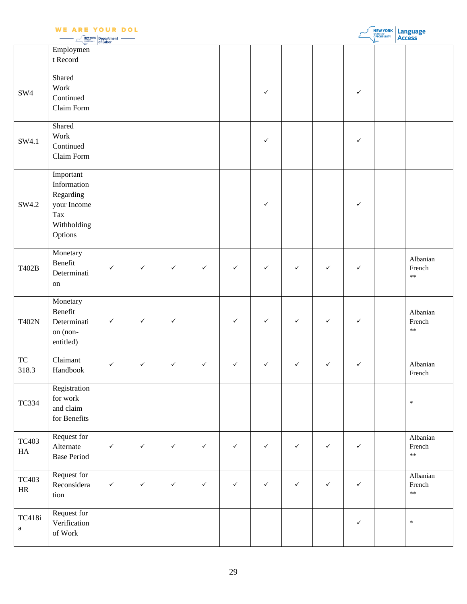|                           | <b>WE ARE YOUR DOL</b>                                                                | <b>NEW YORK</b> Department |              |              |              |              |              |              |              |              | <b>NEW YORK</b> Language |                                  |
|---------------------------|---------------------------------------------------------------------------------------|----------------------------|--------------|--------------|--------------|--------------|--------------|--------------|--------------|--------------|--------------------------|----------------------------------|
|                           | Employmen<br>t Record                                                                 |                            |              |              |              |              |              |              |              |              |                          |                                  |
| SW4                       | Shared<br>Work<br>Continued<br>Claim Form                                             |                            |              |              |              |              | $\checkmark$ |              |              | $\checkmark$ |                          |                                  |
| SW4.1                     | Shared<br>Work<br>Continued<br>Claim Form                                             |                            |              |              |              |              | $\checkmark$ |              |              | $\checkmark$ |                          |                                  |
| SW4.2                     | Important<br>Information<br>Regarding<br>your Income<br>Tax<br>Withholding<br>Options |                            |              |              |              |              | $\checkmark$ |              |              | $\checkmark$ |                          |                                  |
| T402B                     | Monetary<br>Benefit<br>Determinati<br>on                                              | $\checkmark$               | ✓            | $\checkmark$ | $\checkmark$ | $\checkmark$ | $\checkmark$ | $\checkmark$ | $\checkmark$ | $\checkmark$ |                          | Albanian<br>French<br>$\ast\ast$ |
| <b>T402N</b>              | Monetary<br>Benefit<br>Determinati<br>on (non-<br>entitled)                           | $\checkmark$               | $\checkmark$ | $\checkmark$ |              | $\checkmark$ | $\checkmark$ | $\checkmark$ | $\checkmark$ | $\checkmark$ |                          | Albanian<br>French<br>$\ast\ast$ |
| <b>TC</b><br>318.3        | Claimant<br>Handbook                                                                  | $\checkmark$               | $\checkmark$ | $\checkmark$ | $\checkmark$ | $\checkmark$ | $\checkmark$ | $\checkmark$ | $\checkmark$ | $\checkmark$ |                          | Albanian<br>French               |
| <b>TC334</b>              | Registration<br>for work<br>and claim<br>for Benefits                                 |                            |              |              |              |              |              |              |              |              |                          | $\ast$                           |
| <b>TC403</b><br>HA        | Request for<br>Alternate<br><b>Base Period</b>                                        | $\checkmark$               | $\checkmark$ | $\checkmark$ | $\checkmark$ | $\checkmark$ | $\checkmark$ | $\checkmark$ | $\checkmark$ | $\checkmark$ |                          | Albanian<br>French<br>$\ast\ast$ |
| <b>TC403</b><br>$\rm{HR}$ | Request for<br>Reconsidera<br>tion                                                    | $\checkmark$               | $\checkmark$ | $\checkmark$ | $\checkmark$ | $\checkmark$ | $\checkmark$ | $\checkmark$ | $\checkmark$ | $\checkmark$ |                          | Albanian<br>French<br>$\ast\ast$ |
| TC418i<br>$\mathbf{a}$    | Request for<br>Verification<br>of $\operatorname{\mathsf{Work}}$                      |                            |              |              |              |              |              |              |              | $\checkmark$ |                          | $\ast$                           |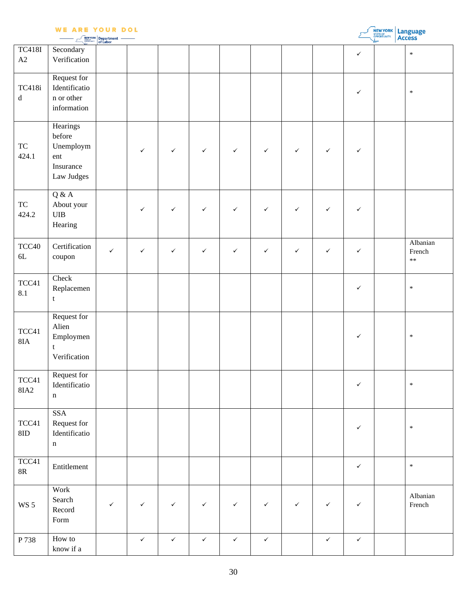|                        | <b>WE ARE YOUR DOL</b>                                                | Department<br>of Labor |              |              |              |              |              |              |              |              | NEW YORK | Language<br>Access         |
|------------------------|-----------------------------------------------------------------------|------------------------|--------------|--------------|--------------|--------------|--------------|--------------|--------------|--------------|----------|----------------------------|
| <b>TC418I</b><br>A2    | Secondary<br>Verification                                             |                        |              |              |              |              |              |              |              | $\checkmark$ |          | $\ast$                     |
| TC418i<br>${\rm d}$    | Request for<br>Identificatio<br>n or other<br>information             |                        |              |              |              |              |              |              |              | $\checkmark$ |          | $\ast$                     |
| ${\rm TC}$<br>424.1    | Hearings<br>before<br>Unemploym<br>ent<br>Insurance<br>Law Judges     |                        | $\checkmark$ | $\checkmark$ | $\checkmark$ | $\checkmark$ | $\checkmark$ | $\checkmark$ | $\checkmark$ | $\checkmark$ |          |                            |
| ${\rm TC}$<br>424.2    | Q & A<br>About your<br>${\bf UIB}$<br>Hearing                         |                        | $\checkmark$ | $\checkmark$ | $\checkmark$ | $\checkmark$ | $\checkmark$ | $\checkmark$ | $\checkmark$ | $\checkmark$ |          |                            |
| TCC40<br>$6L$          | Certification<br>coupon                                               | $\checkmark$           | $\checkmark$ | $\checkmark$ | $\checkmark$ | $\checkmark$ | $\checkmark$ | ✓            | $\checkmark$ | $\checkmark$ |          | Albanian<br>French<br>$**$ |
| TCC41<br>8.1           | Check<br>Replacemen<br>t                                              |                        |              |              |              |              |              |              |              | $\checkmark$ |          | $\ast$                     |
| TCC41<br>$8\text{IA}$  | Request for<br>Alien<br>Employmen<br>t<br>Verification                |                        |              |              |              |              |              |              |              | $\checkmark$ |          | $\ast$                     |
| TCC41<br><b>8IA2</b>   | Request for<br>Identificatio<br>$\mathbf n$                           |                        |              |              |              |              |              |              |              | $\checkmark$ |          | $\ast$                     |
| $TCC41$<br>$8{\rm ID}$ | <b>SSA</b><br>Request for<br>Identificatio<br>$\mathbf n$             |                        |              |              |              |              |              |              |              | $\checkmark$ |          | $\ast$                     |
| TCC41<br>$8\mathbf{R}$ | Entitlement                                                           |                        |              |              |              |              |              |              |              | $\checkmark$ |          | $\ast$                     |
| <b>WS 5</b>            | Work<br>Search<br>Record<br>$\ensuremath{\textnormal{\textbf{Form}}}$ | $\checkmark$           | $\checkmark$ | $\checkmark$ | $\checkmark$ | $\checkmark$ | $\checkmark$ | $\checkmark$ | $\checkmark$ | $\checkmark$ |          | Albanian<br>French         |
| P 738                  | How to<br>know if a                                                   |                        | $\checkmark$ | $\checkmark$ | $\checkmark$ | $\checkmark$ | $\checkmark$ |              | $\checkmark$ | $\checkmark$ |          |                            |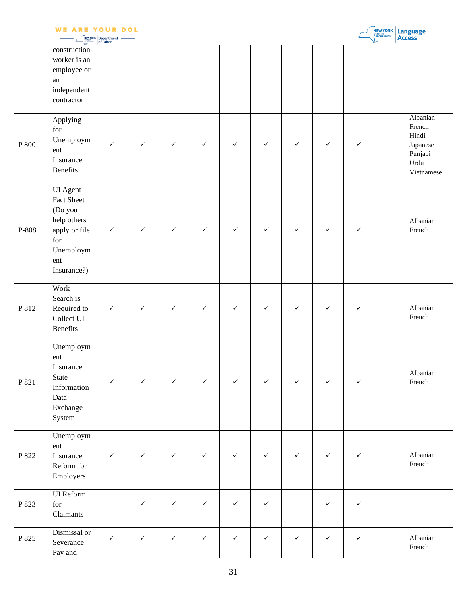|       | <b>WE ARE YOUR DOL</b>                                                                                             | <b>NEW YORK</b> Department — |              |              |              |              |              |              |              |              | <b>NEW YORK Language</b> |                                                                          |
|-------|--------------------------------------------------------------------------------------------------------------------|------------------------------|--------------|--------------|--------------|--------------|--------------|--------------|--------------|--------------|--------------------------|--------------------------------------------------------------------------|
|       | construction<br>worker is an<br>employee or<br>${\rm an}$<br>independent<br>contractor                             |                              |              |              |              |              |              |              |              |              |                          |                                                                          |
| P 800 | Applying<br>for<br>Unemploym<br>ent<br>Insurance<br><b>Benefits</b>                                                | $\checkmark$                 | $\checkmark$ | $\checkmark$ | $\checkmark$ | $\checkmark$ | $\checkmark$ | $\checkmark$ | $\checkmark$ | $\checkmark$ |                          | Albanian<br>French<br>Hindi<br>Japanese<br>Punjabi<br>Urdu<br>Vietnamese |
| P-808 | <b>UI</b> Agent<br>Fact Sheet<br>(Do you<br>help others<br>apply or file<br>for<br>Unemploym<br>ent<br>Insurance?) | $\checkmark$                 | $\checkmark$ | $\checkmark$ | $\checkmark$ | $\checkmark$ | $\checkmark$ | $\checkmark$ | $\checkmark$ | $\checkmark$ |                          | Albanian<br>French                                                       |
| P 812 | Work<br>Search is<br>Required to<br>Collect UI<br><b>Benefits</b>                                                  | $\checkmark$                 | $\checkmark$ | $\checkmark$ | $\checkmark$ | $\checkmark$ | $\checkmark$ | $\checkmark$ | $\checkmark$ | $\checkmark$ |                          | Albanian<br>French                                                       |
| P 821 | Unemploym<br>ent<br>Insurance<br><b>State</b><br>Information<br>Data<br>Exchange<br>System                         | $\checkmark$                 | $\checkmark$ | $\checkmark$ | $\checkmark$ | $\checkmark$ | $\checkmark$ | $\checkmark$ | $\checkmark$ | $\checkmark$ |                          | Albanian<br>French                                                       |
| P 822 | Unemploym<br>ent<br>Insurance<br>Reform for<br>Employers                                                           | $\checkmark$                 | $\checkmark$ | $\checkmark$ | $\checkmark$ | $\checkmark$ | $\checkmark$ | $\checkmark$ | $\checkmark$ | $\checkmark$ |                          | Albanian<br>French                                                       |
| P 823 | <b>UI</b> Reform<br>for<br>Claimants                                                                               |                              | $\checkmark$ | $\checkmark$ | $\checkmark$ | $\checkmark$ | $\checkmark$ |              | $\checkmark$ | $\checkmark$ |                          |                                                                          |
| P 825 | Dismissal or<br>Severance<br>Pay and                                                                               | $\checkmark$                 | $\checkmark$ | $\checkmark$ | $\checkmark$ | $\checkmark$ | $\checkmark$ | $\checkmark$ | $\checkmark$ | $\checkmark$ |                          | Albanian<br>French                                                       |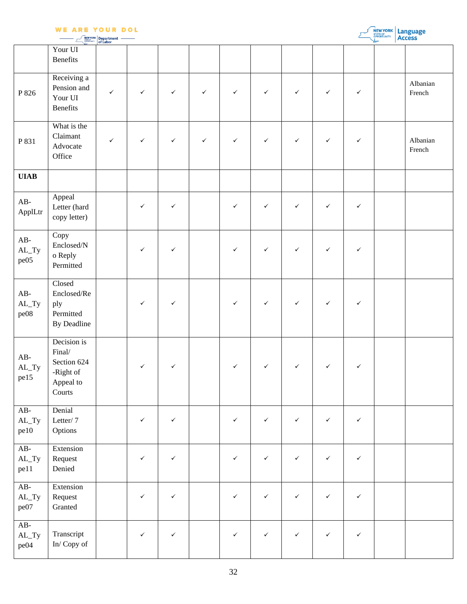|                                  | <b>WE ARE YOUR DOL</b>                                                   | Department<br>of Labor |              |              |              |              |              |              |              |              | NEW YORK | Language<br>Access |
|----------------------------------|--------------------------------------------------------------------------|------------------------|--------------|--------------|--------------|--------------|--------------|--------------|--------------|--------------|----------|--------------------|
|                                  | Your UI<br><b>Benefits</b>                                               |                        |              |              |              |              |              |              |              |              |          |                    |
| P 826                            | Receiving a<br>Pension and<br>Your UI<br><b>Benefits</b>                 | $\checkmark$           | $\checkmark$ | $\checkmark$ | $\checkmark$ | $\checkmark$ | $\checkmark$ | $\checkmark$ | $\checkmark$ | $\checkmark$ |          | Albanian<br>French |
| P 831                            | What is the<br>Claimant<br>Advocate<br>Office                            | ✓                      | $\checkmark$ | $\checkmark$ | $\checkmark$ | $\checkmark$ | $\checkmark$ | $\checkmark$ | $\checkmark$ | $\checkmark$ |          | Albanian<br>French |
| <b>UIAB</b>                      |                                                                          |                        |              |              |              |              |              |              |              |              |          |                    |
| $AB-$<br>ApplLtr                 | Appeal<br>Letter (hard<br>copy letter)                                   |                        | $\checkmark$ | $\checkmark$ |              | ✓            | $\checkmark$ | $\checkmark$ | ✓            | ✓            |          |                    |
| $AB-$<br>$AL_Ty$<br>pe05         | Copy<br>$\ensuremath{\text{Enclosed}}\xspace/N$<br>o Reply<br>Permitted  |                        | $\checkmark$ | $\checkmark$ |              | $\checkmark$ | $\checkmark$ | $\checkmark$ | $\checkmark$ | $\checkmark$ |          |                    |
| $AB-$<br>$\mbox{AL\_Ty}$<br>pe08 | Closed<br>Enclosed/Re<br>ply<br>Permitted<br>By Deadline                 |                        | $\checkmark$ | $\checkmark$ |              | $\checkmark$ | $\checkmark$ | $\checkmark$ | $\checkmark$ | $\checkmark$ |          |                    |
| $AB-$<br>$AL_Ty$<br>pe15         | Decision is<br>Final/<br>Section 624<br>-Right of<br>Appeal to<br>Courts |                        | $\checkmark$ | ✓            |              | $\checkmark$ | $\checkmark$ | $\checkmark$ | $\checkmark$ | $\checkmark$ |          |                    |
| $AB-$<br>$AL_Ty$<br>pe10         | Denial<br>Letter/7<br>Options                                            |                        | $\checkmark$ | $\checkmark$ |              | $\checkmark$ | $\checkmark$ | $\checkmark$ | $\checkmark$ | $\checkmark$ |          |                    |
| $AB-$<br>$AL_Ty$<br>pe11         | Extension<br>Request<br>Denied                                           |                        | $\checkmark$ | $\checkmark$ |              | $\checkmark$ | $\checkmark$ | ✓            | $\checkmark$ | ✓            |          |                    |
| $AB-$<br>$AL_Ty$<br>pe07         | Extension<br>Request<br>Granted                                          |                        | $\checkmark$ | $\checkmark$ |              | $\checkmark$ | $\checkmark$ | $\checkmark$ | $\checkmark$ | $\checkmark$ |          |                    |
| $AB-$<br>$AL_Ty$<br>pe04         | Transcript<br>$\mathop{\text{In}}\nolimits/$ Copy of                     |                        | $\checkmark$ | $\checkmark$ |              | $\checkmark$ | $\checkmark$ | $\checkmark$ | $\checkmark$ | $\checkmark$ |          |                    |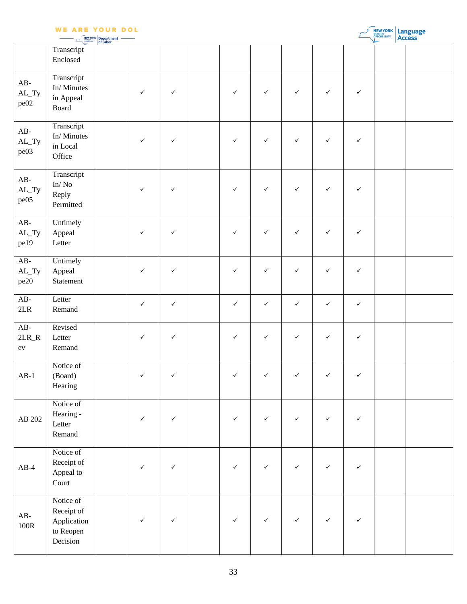|  | <b>NEW YORK</b> Department |  |
|--|----------------------------|--|

| <b>NEW YORK   Language</b><br><b>ACCESS</b> |
|---------------------------------------------|
|                                             |

|                                | Transcript<br>Enclosed                                          |              |              |              |              |              |              |              |  |
|--------------------------------|-----------------------------------------------------------------|--------------|--------------|--------------|--------------|--------------|--------------|--------------|--|
| $AB-$<br>$AL_Ty$<br>pe02       | Transcript<br>In/Minutes<br>in Appeal<br>Board                  | ✓            | $\checkmark$ | ✓            | $\checkmark$ | $\checkmark$ | $\checkmark$ | $\checkmark$ |  |
| $AB-$<br>$AL_Ty$<br>pe03       | Transcript<br>In/Minutes<br>in Local<br>Office                  | $\checkmark$ | $\checkmark$ | $\checkmark$ | $\checkmark$ | $\checkmark$ | $\checkmark$ | $\checkmark$ |  |
| $AB-$<br>$AL_Ty$<br>pe05       | Transcript<br>$\mathrm{In}/\,\mathrm{No}$<br>Reply<br>Permitted | ✓            | $\checkmark$ | $\checkmark$ | $\checkmark$ | $\checkmark$ | ✓            | $\checkmark$ |  |
| $AB-$<br>$AL_Ty$<br>pe19       | Untimely<br>Appeal<br>Letter                                    | $\checkmark$ | $\checkmark$ | $\checkmark$ | $\checkmark$ | $\checkmark$ | $\checkmark$ | $\checkmark$ |  |
| $AB-$<br>$AL_Ty$<br>pe20       | Untimely<br>Appeal<br>Statement                                 | $\checkmark$ | $\checkmark$ | $\checkmark$ | $\checkmark$ | $\checkmark$ | ✓            | $\checkmark$ |  |
| $AB-$<br>$2\mathrm{LR}$        | Letter<br>Remand                                                | $\checkmark$ | $\checkmark$ | $\checkmark$ | $\checkmark$ | $\checkmark$ | $\checkmark$ | $\checkmark$ |  |
| $AB-$<br>$2LR_R$<br>${\rm ev}$ | Revised<br>Letter<br>Remand                                     | $\checkmark$ | $\checkmark$ | ✓            | $\checkmark$ | $\checkmark$ | $\checkmark$ | $\checkmark$ |  |
| $AB-1$                         | Notice of<br>(Board)<br>Hearing                                 | $\checkmark$ | $\checkmark$ | ✓            | $\checkmark$ | $\checkmark$ | ✓            | $\checkmark$ |  |
| AB 202                         | Notice of<br>Hearing -<br>Letter<br>Remand                      | $\checkmark$ | $\checkmark$ | $\checkmark$ | $\checkmark$ | $\checkmark$ | $\checkmark$ | $\checkmark$ |  |
| $AB-4$                         | Notice of<br>Receipt of<br>Appeal to<br>Court                   | ✓            | $\checkmark$ | ✓            | $\checkmark$ | $\checkmark$ | ✓            | $\checkmark$ |  |
| $AB-$<br>100R                  | Notice of<br>Receipt of<br>Application<br>to Reopen<br>Decision | ✓            | $\checkmark$ | ✓            | $\checkmark$ | $\checkmark$ | $\checkmark$ | $\checkmark$ |  |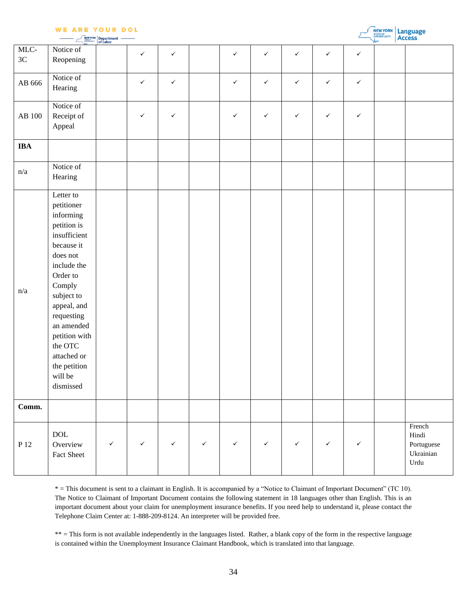|  |                                                                                                                 | − |  |
|--|-----------------------------------------------------------------------------------------------------------------|---|--|
|  | the contract of the contract of the contract of the contract of the contract of the contract of the contract of |   |  |

|                   | <b>WE ARE YOUR DOL</b><br><b>NEW YORK Department</b>                                                                                                                                                                                                                           |              |              |              |              |              |              |              |              |              | <b>NEW YORK</b> Language |                                                    |  |
|-------------------|--------------------------------------------------------------------------------------------------------------------------------------------------------------------------------------------------------------------------------------------------------------------------------|--------------|--------------|--------------|--------------|--------------|--------------|--------------|--------------|--------------|--------------------------|----------------------------------------------------|--|
| MLC-<br>3C        | Notice of<br>Reopening                                                                                                                                                                                                                                                         |              | $\checkmark$ | ✓            |              | $\checkmark$ | $\checkmark$ | $\checkmark$ | $\checkmark$ | $\checkmark$ |                          |                                                    |  |
| AB 666            | Notice of<br>Hearing                                                                                                                                                                                                                                                           |              | $\checkmark$ | $\checkmark$ |              | $\checkmark$ | $\checkmark$ | $\checkmark$ | $\checkmark$ | $\checkmark$ |                          |                                                    |  |
| $\mathrm{AB}$ 100 | Notice of<br>Receipt of<br>Appeal                                                                                                                                                                                                                                              |              | ✓            | $\checkmark$ |              | ✓            | $\checkmark$ | $\checkmark$ | $\checkmark$ | $\checkmark$ |                          |                                                    |  |
| <b>IBA</b>        |                                                                                                                                                                                                                                                                                |              |              |              |              |              |              |              |              |              |                          |                                                    |  |
| n/a               | Notice of<br>Hearing                                                                                                                                                                                                                                                           |              |              |              |              |              |              |              |              |              |                          |                                                    |  |
| n/a               | Letter to<br>petitioner<br>informing<br>petition is<br>insufficient<br>because it<br>does not<br>include the<br>Order to<br>Comply<br>subject to<br>appeal, and<br>requesting<br>an amended<br>petition with<br>the OTC<br>attached or<br>the petition<br>will be<br>dismissed |              |              |              |              |              |              |              |              |              |                          |                                                    |  |
| Comm.             |                                                                                                                                                                                                                                                                                |              |              |              |              |              |              |              |              |              |                          |                                                    |  |
| P 12              | $\rm DOL$<br>Overview<br>Fact Sheet                                                                                                                                                                                                                                            | $\checkmark$ | $\checkmark$ | $\checkmark$ | $\checkmark$ | $\checkmark$ | $\checkmark$ | $\checkmark$ | $\checkmark$ | $\checkmark$ |                          | French<br>Hindi<br>Portuguese<br>Ukrainian<br>Urdu |  |

\* = This document is sent to a claimant in English. It is accompanied by a "Notice to Claimant of Important Document" (TC 10). The Notice to Claimant of Important Document contains the following statement in 18 languages other than English. This is an important document about your claim for unemployment insurance benefits. If you need help to understand it, please contact the Telephone Claim Center at: 1-888-209-8124. An interpreter will be provided free.

\*\* = This form is not available independently in the languages listed. Rather, a blank copy of the form in the respective language is contained within the Unemployment Insurance Claimant Handbook, which is translated into that language.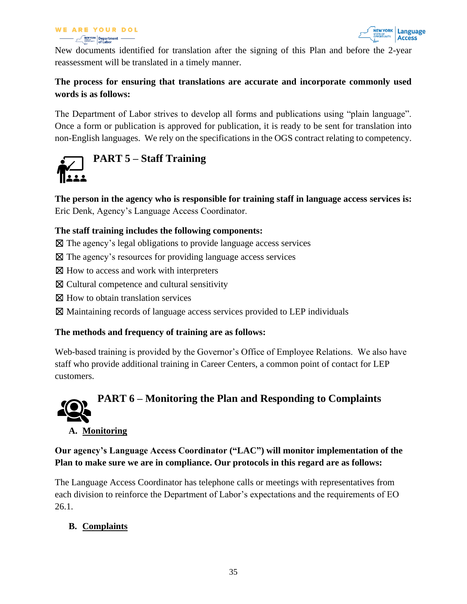#### **WE ARE YOUR DOL Department** —



New documents identified for translation after the signing of this Plan and before the 2-year reassessment will be translated in a timely manner.

## **The process for ensuring that translations are accurate and incorporate commonly used words is as follows:**

The Department of Labor strives to develop all forms and publications using "plain language". Once a form or publication is approved for publication, it is ready to be sent for translation into non-English languages. We rely on the specifications in the OGS contract relating to competency.

<span id="page-34-0"></span>

**The person in the agency who is responsible for training staff in language access services is:** Eric Denk, Agency's Language Access Coordinator.

#### **The staff training includes the following components:**

- $\boxtimes$  The agency's legal obligations to provide language access services
- ☒ The agency's resources for providing language access services
- ⊠ How to access and work with interpreters
- ☒ Cultural competence and cultural sensitivity
- $\boxtimes$  How to obtain translation services
- ☒ Maintaining records of language access services provided to LEP individuals

#### **The methods and frequency of training are as follows:**

Web-based training is provided by the Governor's Office of Employee Relations. We also have staff who provide additional training in Career Centers, a common point of contact for LEP customers.

# <span id="page-34-1"></span>**PART 6 – Monitoring the Plan and Responding to Complaints A. Monitoring**

**Our agency's Language Access Coordinator ("LAC") will monitor implementation of the Plan to make sure we are in compliance. Our protocols in this regard are as follows:**

The Language Access Coordinator has telephone calls or meetings with representatives from each division to reinforce the Department of Labor's expectations and the requirements of EO 26.1.

#### **B. Complaints**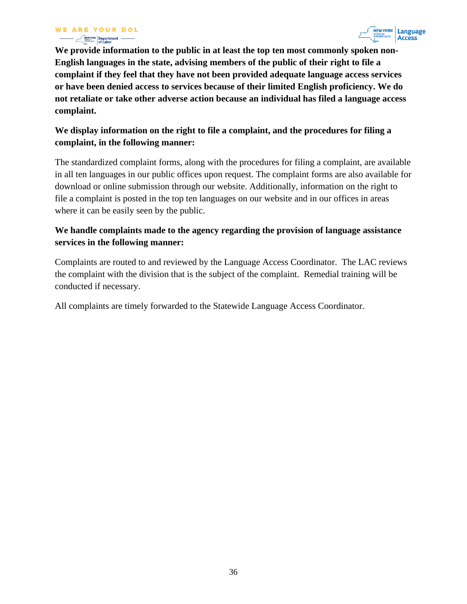

**We provide information to the public in at least the top ten most commonly spoken non-English languages in the state, advising members of the public of their right to file a complaint if they feel that they have not been provided adequate language access services or have been denied access to services because of their limited English proficiency. We do not retaliate or take other adverse action because an individual has filed a language access complaint.** 

#### **We display information on the right to file a complaint, and the procedures for filing a complaint, in the following manner:**

The standardized complaint forms, along with the procedures for filing a complaint, are available in all ten languages in our public offices upon request. The complaint forms are also available for download or online submission through our website. Additionally, information on the right to file a complaint is posted in the top ten languages on our website and in our offices in areas where it can be easily seen by the public.

## **We handle complaints made to the agency regarding the provision of language assistance services in the following manner:**

Complaints are routed to and reviewed by the Language Access Coordinator. The LAC reviews the complaint with the division that is the subject of the complaint. Remedial training will be conducted if necessary.

<span id="page-35-0"></span>All complaints are timely forwarded to the Statewide Language Access Coordinator.